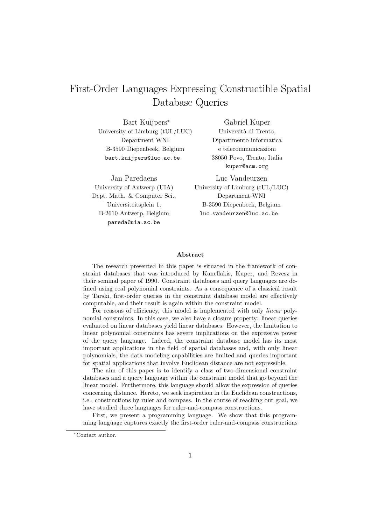# First-Order Languages Expressing Constructible Spatial Database Queries

Bart Kuijpers<sup>∗</sup> University of Limburg (tUL/LUC) Department WNI B-3590 Diepenbeek, Belgium bart.kuijpers@luc.ac.be

Jan Paredaens University of Antwerp (UIA) Dept. Math. & Computer Sci., Universiteitsplein 1, B-2610 Antwerp, Belgium pareda@uia.ac.be

Gabriel Kuper Università di Trento, Dipartimento informatica e telecommunicazioni 38050 Povo, Trento, Italia kuper@acm.org

Luc Vandeurzen University of Limburg (tUL/LUC) Department WNI B-3590 Diepenbeek, Belgium luc.vandeurzen@luc.ac.be

#### **Abstract**

The research presented in this paper is situated in the framework of constraint databases that was introduced by Kanellakis, Kuper, and Revesz in their seminal paper of 1990. Constraint databases and query languages are defined using real polynomial constraints. As a consequence of a classical result by Tarski, first-order queries in the constraint database model are effectively computable, and their result is again within the constraint model.

For reasons of efficiency, this model is implemented with only *linear* polynomial constraints. In this case, we also have a closure property: linear queries evaluated on linear databases yield linear databases. However, the limitation to linear polynomial constraints has severe implications on the expressive power of the query language. Indeed, the constraint database model has its most important applications in the field of spatial databases and, with only linear polynomials, the data modeling capabilities are limited and queries important for spatial applications that involve Euclidean distance are not expressible.

The aim of this paper is to identify a class of two-dimensional constraint databases and a query language within the constraint model that go beyond the linear model. Furthermore, this language should allow the expression of queries concerning distance. Hereto, we seek inspiration in the Euclidean constructions, i.e., constructions by ruler and compass. In the course of reaching our goal, we have studied three languages for ruler-and-compass constructions.

First, we present a programming language. We show that this programming language captures exactly the first-order ruler-and-compass constructions

<sup>∗</sup>Contact author.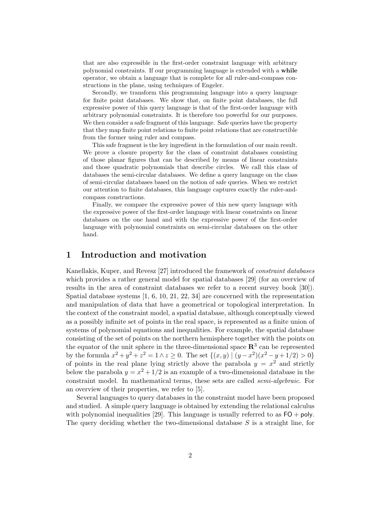that are also expressible in the first-order constraint language with arbitrary polynomial constraints. If our programming language is extended with a **while** operator, we obtain a language that is complete for all ruler-and-compass constructions in the plane, using techniques of Engeler.

Secondly, we transform this programming language into a query language for finite point databases. We show that, on finite point databases, the full expressive power of this query language is that of the first-order language with arbitrary polynomial constraints. It is therefore too powerful for our purposes. We then consider a safe fragment of this language. Safe queries have the property that they map finite point relations to finite point relations that are constructible from the former using ruler and compass.

This safe fragment is the key ingredient in the formulation of our main result. We prove a closure property for the class of constraint databases consisting of those planar figures that can be described by means of linear constraints and those quadratic polynomials that describe circles. We call this class of databases the semi-circular databases. We define a query language on the class of semi-circular databases based on the notion of safe queries. When we restrict our attention to finite databases, this language captures exactly the ruler-andcompass constructions.

Finally, we compare the expressive power of this new query language with the expressive power of the first-order language with linear constraints on linear databases on the one hand and with the expressive power of the first-order language with polynomial constraints on semi-circular databases on the other hand.

# **1 Introduction and motivation**

Kanellakis, Kuper, and Revesz [27] introduced the framework of *constraint databases* which provides a rather general model for spatial databases [29] (for an overview of results in the area of constraint databases we refer to a recent survey book [30]). Spatial database systems [1, 6, 10, 21, 22, 34] are concerned with the representation and manipulation of data that have a geometrical or topological interpretation. In the context of the constraint model, a spatial database, although conceptually viewed as a possibly infinite set of points in the real space, is represented as a finite union of systems of polynomial equations and inequalities. For example, the spatial database consisting of the set of points on the northern hemisphere together with the points on the equator of the unit sphere in the three-dimensional space  $\mathbb{R}^3$  can be represented by the formula  $x^2 + y^2 + z^2 = 1 \wedge z \ge 0$ . The set  $\{(x, y) \mid (y - x^2)(x^2 - y + 1/2) > 0\}$ of points in the real plane lying strictly above the parabola  $y = x^2$  and strictly below the parabola  $y = x^2 + 1/2$  is an example of a two-dimensional database in the constraint model. In mathematical terms, these sets are called *semi-algebraic*. For an overview of their properties, we refer to [5].

Several languages to query databases in the constraint model have been proposed and studied. A simple query language is obtained by extending the relational calculus with polynomial inequalities [29]. This language is usually referred to as  $FO + \text{poly}$ . The query deciding whether the two-dimensional database  $S$  is a straight line, for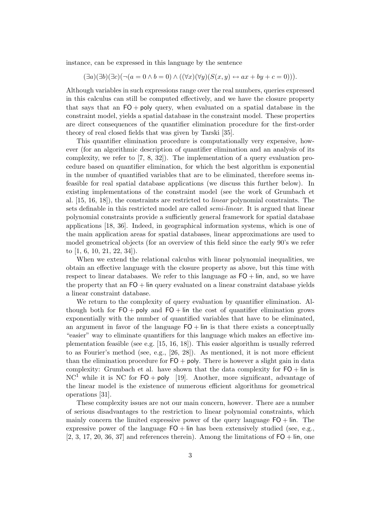instance, can be expressed in this language by the sentence

$$
(\exists a)(\exists b)(\exists c)(\neg(a=0 \land b=0) \land ((\forall x)(\forall y)(S(x,y) \leftrightarrow ax+by+c=0))).
$$

Although variables in such expressions range over the real numbers, queries expressed in this calculus can still be computed effectively, and we have the closure property that says that an  $FO + poly$  query, when evaluated on a spatial database in the constraint model, yields a spatial database in the constraint model. These properties are direct consequences of the quantifier elimination procedure for the first-order theory of real closed fields that was given by Tarski [35].

This quantifier elimination procedure is computationally very expensive, however (for an algorithmic description of quantifier elimination and an analysis of its complexity, we refer to [7, 8, 32]). The implementation of a query evaluation procedure based on quantifier elimination, for which the best algorithm is exponential in the number of quantified variables that are to be eliminated, therefore seems infeasible for real spatial database applications (we discuss this further below). In existing implementations of the constraint model (see the work of Grumbach et al. [15, 16, 18]), the constraints are restricted to *linear* polynomial constraints. The sets definable in this restricted model are called *semi-linear*. It is argued that linear polynomial constraints provide a sufficiently general framework for spatial database applications [18, 36]. Indeed, in geographical information systems, which is one of the main application areas for spatial databases, linear approximations are used to model geometrical objects (for an overview of this field since the early 90's we refer to [1, 6, 10, 21, 22, 34]).

When we extend the relational calculus with linear polynomial inequalities, we obtain an effective language with the closure property as above, but this time with respect to linear databases. We refer to this language as  $FO + lin$ , and, so we have the property that an  $FO + \text{lin}$  query evaluated on a linear constraint database yields a linear constraint database.

We return to the complexity of query evaluation by quantifier elimination. Although both for  $FO + poly$  and  $FO + lin$  the cost of quantifier elimination grows exponentially with the number of quantified variables that have to be eliminated, an argument in favor of the language  $FO + lin$  is that there exists a conceptually "easier" way to eliminate quantifiers for this language which makes an effective implementation feasible (see e.g. [15, 16, 18]). This easier algorithm is usually referred to as Fourier's method (see, e.g., [26, 28]). As mentioned, it is not more efficient than the elimination procedure for  $FO + poly$ . There is however a slight gain in data complexity: Grumbach et al. have shown that the data complexity for  $FO + lin$  is  $NC<sup>1</sup>$  while it is NC for  $FO + poly$  [19]. Another, more significant, advantage of the linear model is the existence of numerous efficient algorithms for geometrical operations [31].

These complexity issues are not our main concern, however. There are a number of serious disadvantages to the restriction to linear polynomial constraints, which mainly concern the limited expressive power of the query language  $FO + lin$ . The expressive power of the language  $FO + \text{lin}$  has been extensively studied (see, e.g.,  $[2, 3, 17, 20, 36, 37]$  and references therein). Among the limitations of  $FO + lin$ , one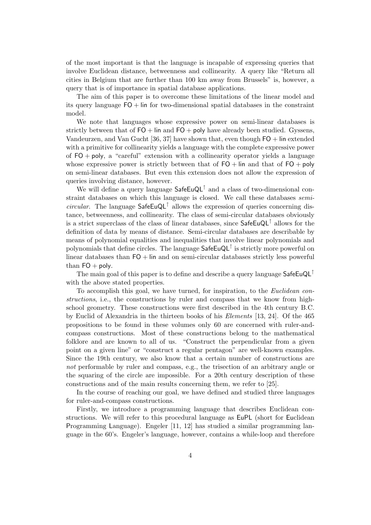of the most important is that the language is incapable of expressing queries that involve Euclidean distance, betweenness and collinearity. A query like "Return all cities in Belgium that are further than 100 km away from Brussels" is, however, a query that is of importance in spatial database applications.

The aim of this paper is to overcome these limitations of the linear model and its query language  $FO +$  lin for two-dimensional spatial databases in the constraint model.

We note that languages whose expressive power on semi-linear databases is strictly between that of  $FO + \text{lin}$  and  $FO + \text{poly}$  have already been studied. Gyssens, Vandeurzen, and Van Gucht [36, 37] have shown that, even though FO + lin extended with a primitive for collinearity yields a language with the complete expressive power of  $FO + poly$ , a "careful" extension with a collinearity operator yields a language whose expressive power is strictly between that of  $FO + \text{lin}$  and that of  $FO + \text{poly}$ on semi-linear databases. But even this extension does not allow the expression of queries involving distance, however.

We will define a query language SafeEuQL↑ and a class of two-dimensional constraint databases on which this language is closed. We call these databases *semicircular*. The language SafeEuQL↑ allows the expression of queries concerning distance, betweenness, and collinearity. The class of semi-circular databases obviously is a strict superclass of the class of linear databases, since  $\mathsf{SafeEuQL}^{\uparrow}$  allows for the definition of data by means of distance. Semi-circular databases are describable by means of polynomial equalities and inequalities that involve linear polynomials and polynomials that define circles. The language SafeEuQL↑ is strictly more powerful on linear databases than  $FO + \text{lin}$  and on semi-circular databases strictly less powerful than  $FO + poly$ .

The main goal of this paper is to define and describe a query language SafeEuQL<sup>†</sup> with the above stated properties.

To accomplish this goal, we have turned, for inspiration, to the *Euclidean constructions*, i.e., the constructions by ruler and compass that we know from highschool geometry. These constructions were first described in the 4th century B.C. by Euclid of Alexandria in the thirteen books of his *Elements* [13, 24]. Of the 465 propositions to be found in these volumes only 60 are concerned with ruler-andcompass constructions. Most of these constructions belong to the mathematical folklore and are known to all of us. "Construct the perpendicular from a given point on a given line" or "construct a regular pentagon" are well-known examples. Since the 19th century, we also know that a certain number of constructions are *not* performable by ruler and compass, e.g., the trisection of an arbitrary angle or the squaring of the circle are impossible. For a 20th century description of these constructions and of the main results concerning them, we refer to [25].

In the course of reaching our goal, we have defined and studied three languages for ruler-and-compass constructions.

Firstly, we introduce a programming language that describes Euclidean constructions. We will refer to this procedural language as EuPL (short for Euclidean Programming Language). Engeler [11, 12] has studied a similar programming language in the 60's. Engeler's language, however, contains a while-loop and therefore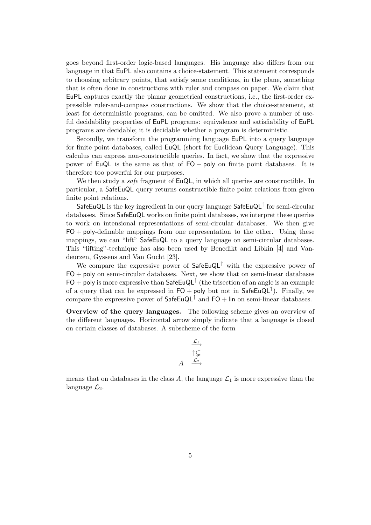goes beyond first-order logic-based languages. His language also differs from our language in that EuPL also contains a choice-statement. This statement corresponds to choosing arbitrary points, that satisfy some conditions, in the plane, something that is often done in constructions with ruler and compass on paper. We claim that EuPL captures exactly the planar geometrical constructions, i.e., the first-order expressible ruler-and-compass constructions. We show that the choice-statement, at least for deterministic programs, can be omitted. We also prove a number of useful decidability properties of EuPL programs: equivalence and satisfiability of EuPL programs are decidable; it is decidable whether a program is deterministic.

Secondly, we transform the programming language EuPL into a query language for finite point databases, called EuQL (short for Euclidean Query Language). This calculus can express non-constructible queries. In fact, we show that the expressive power of EuQL is the same as that of  $FO + poly$  on finite point databases. It is therefore too powerful for our purposes.

We then study a *safe* fragment of EuQL, in which all queries are constructible. In particular, a SafeEuQL query returns constructible finite point relations from given finite point relations.

SafeEuQL is the key ingredient in our query language SafeEuQL<sup>↑</sup> for semi-circular databases. Since SafeEuQL works on finite point databases, we interpret these queries to work on intensional representations of semi-circular databases. We then give  $FO + poly-definable$  mappings from one representation to the other. Using these mappings, we can "lift" SafeEuQL to a query language on semi-circular databases. This "lifting"-technique has also been used by Benedikt and Libkin [4] and Vandeurzen, Gyssens and Van Gucht [23].

We compare the expressive power of  $\mathsf{SafeEuQL}^{\uparrow}$  with the expressive power of  $FO + poly$  on semi-circular databases. Next, we show that on semi-linear databases  $FO + poly$  is more expressive than  $\mathsf{SafeEuQL}^{\uparrow}$  (the trisection of an angle is an example of a query that can be expressed in  $FO + poly$  but not in  $SafeEuQL^{\uparrow}$ ). Finally, we compare the expressive power of  $\mathsf{SafeEuQL}^{\uparrow}$  and  $\mathsf{FO} + \mathsf{lin}$  on semi-linear databases.

**Overview of the query languages.** The following scheme gives an overview of the different languages. Horizontal arrow simply indicate that a language is closed on certain classes of databases. A subscheme of the form

$$
A \xrightarrow{\mathcal{L}_1} A \xrightarrow{\uparrow \subsetneq} A
$$

means that on databases in the class A, the language  $\mathcal{L}_1$  is more expressive than the language  $\mathcal{L}_2$ .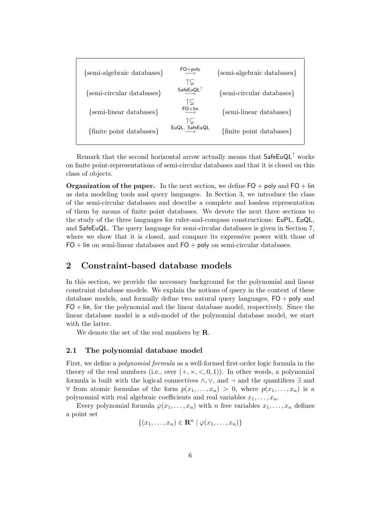| {semi-algebraic databases} | $FO+poly$<br>Ĩ⊊       | {semi-algebraic databases} |
|----------------------------|-----------------------|----------------------------|
| {semi-circular databases}  | $SafeEuQL^{\uparrow}$ | {semi-circular databases}  |
| {semi-linear databases}    | ↑⊊<br>$FO+lin$<br>ĨÇ  | {semi-linear databases}    |
| {finite point databases}   | EuQL, SafeEuQL        | {finite point databases}   |

Remark that the second horizontal arrow actually means that  $\mathsf{SafeEuQL}^{\uparrow}$  works on finite point-representations of semi-circular databases and that it is closed on this class of objects.

**Organization of the paper.** In the next section, we define FO + poly and FO + lin as data modeling tools and query languages. In Section 3, we introduce the class of the semi-circular databases and describe a complete and lossless representation of them by means of finite point databases. We devote the next three sections to the study of the three languages for ruler-and-compass constructions: EuPL, EuQL, and SafeEuQL. The query language for semi-circular databases is given in Section 7, where we show that it is closed, and compare its expressive power with those of  $FO$  + lin on semi-linear databases and  $FO$  + poly on semi-circular databases.

# **2 Constraint-based database models**

In this section, we provide the necessary background for the polynomial and linear constraint database models. We explain the notions of query in the context of these database models, and formally define two natural query languages, FO + poly and  $FO + lin$ , for the polynomial and the linear database model, respectively. Since the linear database model is a sub-model of the polynomial database model, we start with the latter.

We denote the set of the real numbers by **R**.

## **2.1 The polynomial database model**

First, we define a *polynomial formula* as a well-formed first-order logic formula in the theory of the real numbers (i.e., over  $(+, \times, <, 0, 1)$ ). In other words, a polynomial formula is built with the logical connectives  $\wedge$ ,  $\vee$ , and  $\neg$  and the quantifiers  $\exists$  and ∀ from atomic formulas of the form  $p(x_1,...,x_n) > 0$ , where  $p(x_1,...,x_n)$  is a polynomial with real algebraic coefficients and real variables  $x_1, \ldots, x_n$ .

Every polynomial formula  $\varphi(x_1,\ldots,x_n)$  with n free variables  $x_1,\ldots,x_n$  defines a point set

$$
\{(x_1,\ldots,x_n)\in \mathbf{R}^n\mid \varphi(x_1,\ldots,x_n)\}\
$$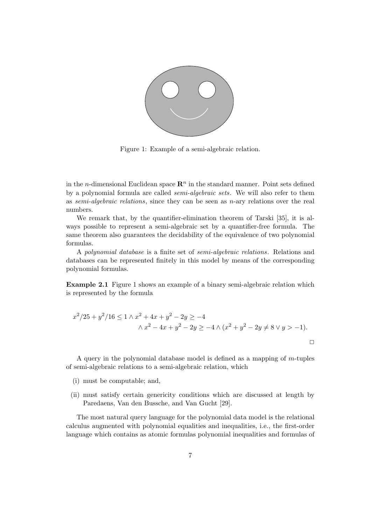

Figure 1: Example of a semi-algebraic relation.

in the *n*-dimensional Euclidean space  $\mathbb{R}^n$  in the standard manner. Point sets defined by a polynomial formula are called *semi-algebraic sets*. We will also refer to them as *semi-algebraic relations*, since they can be seen as n-ary relations over the real numbers.

We remark that, by the quantifier-elimination theorem of Tarski [35], it is always possible to represent a semi-algebraic set by a quantifier-free formula. The same theorem also guarantees the decidability of the equivalence of two polynomial formulas.

A *polynomial database* is a finite set of *semi-algebraic relations*. Relations and databases can be represented finitely in this model by means of the corresponding polynomial formulas.

**Example 2.1** Figure 1 shows an example of a binary semi-algebraic relation which is represented by the formula

$$
x^{2}/25 + y^{2}/16 \le 1 \wedge x^{2} + 4x + y^{2} - 2y \ge -4
$$
  
 
$$
\wedge x^{2} - 4x + y^{2} - 2y \ge -4 \wedge (x^{2} + y^{2} - 2y \ne 8 \vee y > -1).
$$

A query in the polynomial database model is defined as a mapping of m-tuples of semi-algebraic relations to a semi-algebraic relation, which

- (i) must be computable; and,
- (ii) must satisfy certain genericity conditions which are discussed at length by Paredaens, Van den Bussche, and Van Gucht [29].

The most natural query language for the polynomial data model is the relational calculus augmented with polynomial equalities and inequalities, i.e., the first-order language which contains as atomic formulas polynomial inequalities and formulas of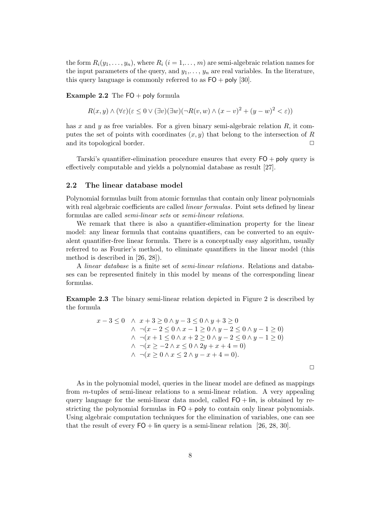the form  $R_i(y_1,\ldots,y_n)$ , where  $R_i$   $(i = 1,\ldots,m)$  are semi-algebraic relation names for the input parameters of the query, and  $y_1, \ldots, y_n$  are real variables. In the literature, this query language is commonly referred to as  $FO + poly$  [30].

**Example 2.2** The  $FO + poly$  formula

 $R(x, y) \wedge (\forall \varepsilon)(\varepsilon \leq 0 \vee (\exists v)(\exists w)(\neg R(v, w) \wedge (x - v)^2 + (y - w)^2 < \varepsilon))$ 

has x and y as free variables. For a given binary semi-algebraic relation  $R$ , it computes the set of points with coordinates  $(x, y)$  that belong to the intersection of R and its topological border.

Tarski's quantifier-elimination procedure ensures that every FO + poly query is effectively computable and yields a polynomial database as result [27].

#### **2.2 The linear database model**

Polynomial formulas built from atomic formulas that contain only linear polynomials with real algebraic coefficients are called *linear formulas*. Point sets defined by linear formulas are called *semi-linear sets* or *semi-linear relations*.

We remark that there is also a quantifier-elimination property for the linear model: any linear formula that contains quantifiers, can be converted to an equivalent quantifier-free linear formula. There is a conceptually easy algorithm, usually referred to as Fourier's method, to eliminate quantifiers in the linear model (this method is described in [26, 28]).

A *linear database* is a finite set of *semi-linear relations*. Relations and databases can be represented finitely in this model by means of the corresponding linear formulas.

**Example 2.3** The binary semi-linear relation depicted in Figure 2 is described by the formula

$$
x-3 \le 0 \quad \wedge x+3 \ge 0 \wedge y-3 \le 0 \wedge y+3 \ge 0
$$
  
\n
$$
\wedge \neg(x-2 \le 0 \wedge x-1 \ge 0 \wedge y-2 \le 0 \wedge y-1 \ge 0)
$$
  
\n
$$
\wedge \neg(x+1 \le 0 \wedge x+2 \ge 0 \wedge y-2 \le 0 \wedge y-1 \ge 0)
$$
  
\n
$$
\wedge \neg(x \ge -2 \wedge x \le 0 \wedge 2y+x+4=0)
$$
  
\n
$$
\wedge \neg(x \ge 0 \wedge x \le 2 \wedge y-x+4=0).
$$

 $\Box$ 

As in the polynomial model, queries in the linear model are defined as mappings from m-tuples of semi-linear relations to a semi-linear relation. A very appealing query language for the semi-linear data model, called  $FO + lin$ , is obtained by restricting the polynomial formulas in  $FO + poly$  to contain only linear polynomials. Using algebraic computation techniques for the elimination of variables, one can see that the result of every  $FO +$  lin query is a semi-linear relation [26, 28, 30].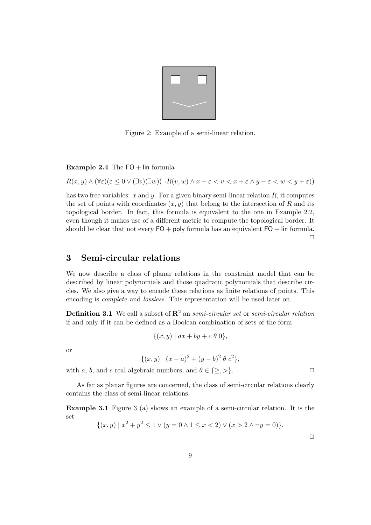

Figure 2: Example of a semi-linear relation.

**Example 2.4** The  $FO + lin$  formula

 $R(x, y) \wedge (\forall \varepsilon)(\varepsilon \leq 0 \vee (\exists v)(\exists w)(\neg R(v, w) \wedge x - \varepsilon \leq v \leq x + \varepsilon \wedge y - \varepsilon \leq w \leq y + \varepsilon))$ 

has two free variables:  $x$  and  $y$ . For a given binary semi-linear relation  $R$ , it computes the set of points with coordinates  $(x, y)$  that belong to the intersection of R and its topological border. In fact, this formula is equivalent to the one in Example 2.2, even though it makes use of a different metric to compute the topological border. It should be clear that not every  $FO + \text{poly}$  formula has an equivalent  $FO + \text{lin}$  formula.  $\Box$ 

# **3 Semi-circular relations**

We now describe a class of planar relations in the constraint model that can be described by linear polynomials and those quadratic polynomials that describe circles. We also give a way to encode these relations as finite relations of points. This encoding is *complete* and *lossless*. This representation will be used later on.

**Definition 3.1** We call a subset of **R**<sup>2</sup> an *semi-circular set* or *semi-circular relation* if and only if it can be defined as a Boolean combination of sets of the form

$$
\{(x,y) \mid ax + by + c \theta \ 0\},\
$$

or

$$
\{(x,y) \mid (x-a)^2 + (y-b)^2 \theta c^2\},\
$$

with a, b, and c real algebraic numbers, and  $\theta \in \{\geq,>\}$ .

As far as planar figures are concerned, the class of semi-circular relations clearly contains the class of semi-linear relations.

**Example 3.1** Figure 3 (a) shows an example of a semi-circular relation. It is the set

$$
\{(x,y) \mid x^2 + y^2 \le 1 \lor (y = 0 \land 1 \le x < 2) \lor (x > 2 \land \neg y = 0)\}.
$$

 $\Box$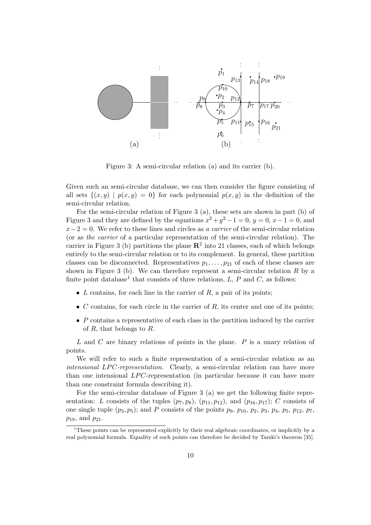

Figure 3: A semi-circular relation (a) and its carrier (b).

Given such an semi-circular database, we can then consider the figure consisting of all sets  $\{(x, y) | p(x, y) = 0\}$  for each polynomial  $p(x, y)$  in the definition of the semi-circular relation.

For the semi-circular relation of Figure 3 (a), these sets are shown in part (b) of Figure 3 and they are defined by the equations  $x^2 + y^2 - 1 = 0$ ,  $y = 0$ ,  $x - 1 = 0$ , and x−2 = 0. We refer to these lines and circles as *a carrier* of the semi-circular relation (or as *the carrier* of a particular representation of the semi-circular relation). The carrier in Figure 3 (b) partitions the plane  $\mathbb{R}^2$  into 21 classes, each of which belongs entirely to the semi-circular relation or to its complement. In general, these partition classes can be disconnected. Representatives  $p_1, \ldots, p_{21}$  of each of these classes are shown in Figure 3 (b). We can therefore represent a semi-circular relation  $R$  by a finite point database<sup>1</sup> that consists of three relations,  $L$ ,  $P$  and  $C$ , as follows:

- $L$  contains, for each line in the carrier of  $R$ , a pair of its points;
- $\bullet$  C contains, for each circle in the carrier of R, its center and one of its points;
- $\bullet$  P contains a representative of each class in the partition induced by the carrier of R, that belongs to R.

 $L$  and  $C$  are binary relations of points in the plane.  $P$  is a unary relation of points.

We will refer to such a finite representation of a semi-circular relation as an *intensional LPC-representation.* Clearly, a semi-circular relation can have more than one intensional  $LPC$ -representation (in particular because it can have more than one constraint formula describing it).

For the semi-circular database of Figure 3 (a) we get the following finite representation: L consists of the tuples  $(p_7, p_8)$ ,  $(p_{11}, p_{12})$ , and  $(p_{16}, p_{17})$ ; C consists of one single tuple  $(p_3, p_5)$ ; and P consists of the points  $p_9$ ,  $p_{10}$ ,  $p_2$ ,  $p_3$ ,  $p_4$ ,  $p_5$ ,  $p_{12}$ ,  $p_7$ ,  $p_{19}$ , and  $p_{21}$ .

 $1$ <sup>1</sup>These points can be represented explicitly by their real algebraic coordinates, or implicitly by a real polynomial formula. Equality of such points can therefore be decided by Tarski's theorem [35].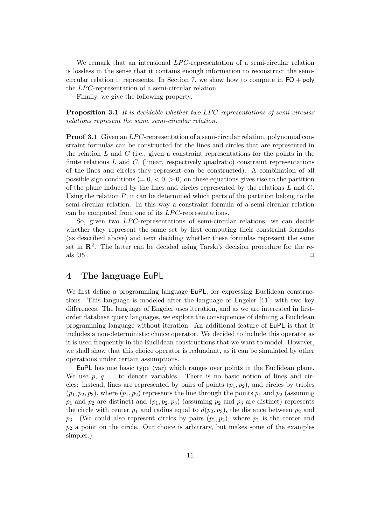We remark that an intensional  $LPC$ -representation of a semi-circular relation is lossless in the sense that it contains enough information to reconstruct the semicircular relation it represents. In Section 7, we show how to compute in  $FO + poly$ the  $LPC$ -representation of a semi-circular relation.

Finally, we give the following property.

**Proposition 3.1** *It is decidable whether two LPC-representations of semi-circular relations represent the same semi-circular relation.*

**Proof 3.1** Given an LPC-representation of a semi-circular relation, polynomial constraint formulas can be constructed for the lines and circles that are represented in the relation L and C (i.e., given a constraint representations for the points in the finite relations  $L$  and  $C$ , (linear, respectively quadratic) constraint representations of the lines and circles they represent can be constructed). A combination of all possible sign conditions ( $= 0, < 0, > 0$ ) on these equations gives rise to the partition of the plane induced by the lines and circles represented by the relations L and C. Using the relation  $P$ , it can be determined which parts of the partition belong to the semi-circular relation. In this way a constraint formula of a semi-circular relation can be computed from one of its  $LPC$ -representations.

So, given two LPC-representations of semi-circular relations, we can decide whether they represent the same set by first computing their constraint formulas (as described above) and next deciding whether these formulas represent the same set in  $\mathbb{R}^2$ . The latter can be decided using Tarski's decision procedure for the reals  $[35]$ .

## **4 The language** EuPL

We first define a programming language EuPL, for expressing Euclidean constructions. This language is modeled after the language of Engeler [11], with two key differences. The language of Engeler uses iteration, and as we are interested in firstorder database query languages, we explore the consequences of defining a Euclidean programming language without iteration. An additional feature of EuPL is that it includes a non-deterministic choice operator. We decided to include this operator as it is used frequently in the Euclidean constructions that we want to model. However, we shall show that this choice operator is redundant, as it can be simulated by other operations under certain assumptions.

EuPL has one basic type  $\langle \text{var} \rangle$  which ranges over points in the Euclidean plane. We use  $p, q, \ldots$  to denote variables. There is no basic notion of lines and circles: instead, lines are represented by pairs of points  $(p_1, p_2)$ , and circles by triples  $(p_1, p_2, p_3)$ , where  $(p_1, p_2)$  represents the line through the points  $p_1$  and  $p_2$  (assuming  $p_1$  and  $p_2$  are distinct) and  $(p_1, p_2, p_3)$  (assuming  $p_2$  and  $p_3$  are distinct) represents the circle with center  $p_1$  and radius equal to  $d(p_2, p_3)$ , the distance between  $p_2$  and  $p_3$ . (We could also represent circles by pairs  $(p_1, p_2)$ , where  $p_1$  is the center and  $p_2$  a point on the circle. Our choice is arbitrary, but makes some of the examples simpler.)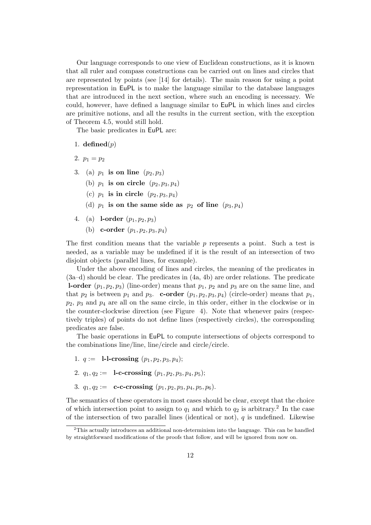Our language corresponds to one view of Euclidean constructions, as it is known that all ruler and compass constructions can be carried out on lines and circles that are represented by points (see [14] for details). The main reason for using a point representation in EuPL is to make the language similar to the database languages that are introduced in the next section, where such an encoding is necessary. We could, however, have defined a language similar to EuPL in which lines and circles are primitive notions, and all the results in the current section, with the exception of Theorem 4.5, would still hold.

The basic predicates in EuPL are:

- 1. **defined** $(p)$
- 2.  $p_1 = p_2$
- 3. (a)  $p_1$  **is on line**  $(p_2, p_3)$ 
	- (b)  $p_1$  **is on circle**  $(p_2, p_3, p_4)$
	- (c)  $p_1$  **is in circle**  $(p_2, p_3, p_4)$
	- (d)  $p_1$  is on the same side as  $p_2$  of line  $(p_3, p_4)$
- 4. (a) **l-order**  $(p_1, p_2, p_3)$ 
	- (b) **c-order**  $(p_1, p_2, p_3, p_4)$

The first condition means that the variable p represents a point. Such a test is needed, as a variable may be undefined if it is the result of an intersection of two disjoint objects (parallel lines, for example).

Under the above encoding of lines and circles, the meaning of the predicates in (3a–d) should be clear. The predicates in (4a, 4b) are order relations. The predicate **l-order**  $(p_1, p_2, p_3)$  (line-order) means that  $p_1, p_2$  and  $p_3$  are on the same line, and that  $p_2$  is between  $p_1$  and  $p_3$ . **c-order**  $(p_1, p_2, p_3, p_4)$  (circle-order) means that  $p_1$ ,  $p_2$ ,  $p_3$  and  $p_4$  are all on the same circle, in this order, either in the clockwise or in the counter-clockwise direction (see Figure 4). Note that whenever pairs (respectively triples) of points do not define lines (respectively circles), the corresponding predicates are false.

The basic operations in EuPL to compute intersections of objects correspond to the combinations line/line, line/circle and circle/circle.

- 1.  $q := 1$ -**l**-crossing  $(p_1, p_2, p_3, p_4);$
- 2.  $q_1, q_2 := \textbf{1-c-crossing } (p_1, p_2, p_3, p_4, p_5);$
- 3.  $q_1, q_2 := \textbf{c-crossing } (p_1, p_2, p_3, p_4, p_5, p_6).$

The semantics of these operators in most cases should be clear, except that the choice of which intersection point to assign to  $q_1$  and which to  $q_2$  is arbitrary.<sup>2</sup> In the case of the intersection of two parallel lines (identical or not),  $q$  is undefined. Likewise

<sup>&</sup>lt;sup>2</sup>This actually introduces an additional non-determinism into the language. This can be handled by straightforward modifications of the proofs that follow, and will be ignored from now on.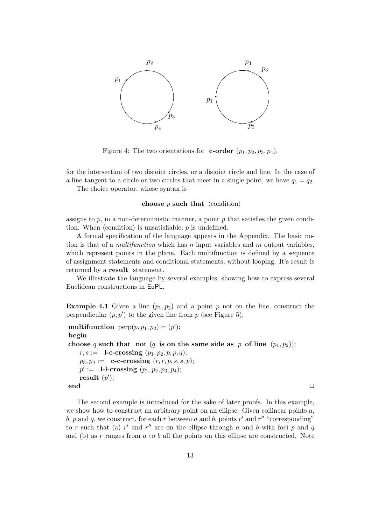

Figure 4: The two orientations for **c-order**  $(p_1, p_2, p_3, p_4)$ .

for the intersection of two disjoint circles, or a disjoint circle and line. In the case of a line tangent to a circle or two circles that meet in a single point, we have  $q_1 = q_2$ .

The choice operator, whose syntax is

#### **choose**  $p$  **such that**  $\langle$  condition $\rangle$

assigns to  $p$ , in a non-deterministic manner, a point  $p$  that satisfies the given condition. When  $\langle$ condition $\rangle$  is unsatisfiable, p is undefined.

A formal specification of the language appears in the Appendix. The basic notion is that of a *multifunction* which has n input variables and m output variables, which represent points in the plane. Each multifunction is defined by a sequence of assignment statements and conditional statements, without looping. It's result is returned by a **result** statement.

We illustrate the language by several examples, showing how to express several Euclidean constructions in EuPL.

**Example 4.1** Given a line  $(p_1, p_2)$  and a point p not on the line, construct the perpendicular  $(p, p')$  to the given line from p (see Figure 5).

```
multifunction \text{perp}(p, p_1, p_2) = (p');
begin
choose q such that not (q is on the same side as p of line (p_1, p_2));
   r, s := \textbf{l-c-crossing } (p_1, p_2, p, p, q);p_3, p_4 := {\bf c-crossing} (r, r, p, s, s, p);p' := \textbf{l-l-crossing } (p_1, p_2, p_3, p_4);result (p');
end ✷
```
The second example is introduced for the sake of later proofs. In this example, we show how to construct an arbitrary point on an ellipse. Given collinear points  $a$ , b, p and q, we construct, for each r between a and b, points  $r'$  and  $r''$  "corresponding" to r such that (a) r' and r'' are on the ellipse through a and b with foci p and q and (b) as  $r$  ranges from  $a$  to  $b$  all the points on this ellipse are constructed. Note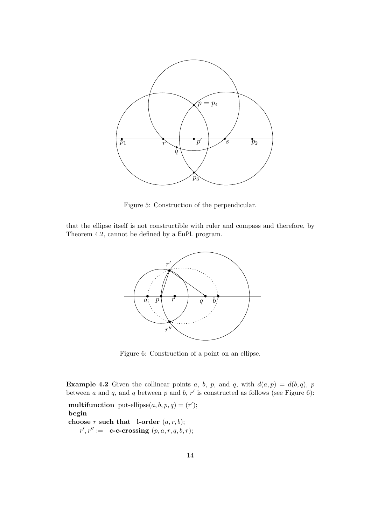

Figure 5: Construction of the perpendicular.

that the ellipse itself is not constructible with ruler and compass and therefore, by Theorem 4.2, cannot be defined by a EuPL program.



Figure 6: Construction of a point on an ellipse.

**Example 4.2** Given the collinear points a, b, p, and q, with  $d(a, p) = d(b, q)$ , p between a and q, and q between p and b,  $r'$  is constructed as follows (see Figure 6):

**multifunction** put-ellipse $(a, b, p, q) = (r')$ ; **begin choose** r **such that l-order**  $(a, r, b)$ ;  $r', r' := \textbf{c-c-crossing } (p, a, r, q, b, r);$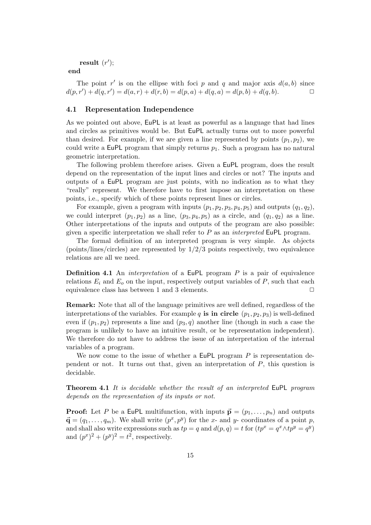```
result (r');
```
**end**

The point r' is on the ellipse with foci p and q and major axis  $d(a, b)$  since  $d(p, r') + d(q, r') = d(a, r) + d(r, b) = d(p, a) + d(q, a) = d(p, b) + d(q, b).$ 

## **4.1 Representation Independence**

As we pointed out above, EuPL is at least as powerful as a language that had lines and circles as primitives would be. But EuPL actually turns out to more powerful than desired. For example, if we are given a line represented by points  $(p_1, p_2)$ , we could write a EuPL program that simply returns  $p_1$ . Such a program has no natural geometric interpretation.

The following problem therefore arises. Given a EuPL program, does the result depend on the representation of the input lines and circles or not? The inputs and outputs of a EuPL program are just points, with no indication as to what they "really" represent. We therefore have to first impose an interpretation on these points, i.e., specify which of these points represent lines or circles.

For example, given a program with inputs  $(p_1, p_2, p_3, p_4, p_5)$  and outputs  $(q_1, q_2)$ , we could interpret  $(p_1, p_2)$  as a line,  $(p_3, p_4, p_5)$  as a circle, and  $(q_1, q_2)$  as a line. Other interpretations of the inputs and outputs of the program are also possible: given a specific interpretation we shall refer to P as an *interpreted* EuPL program.

The formal definition of an interpreted program is very simple. As objects (points/lines/circles) are represented by  $1/2/3$  points respectively, two equivalence relations are all we need.

**Definition 4.1** An *interpretation* of a EuPL program P is a pair of equivalence relations  $E_i$  and  $E_o$  on the input, respectively output variables of  $P$ , such that each equivalence class has between 1 and 3 elements.  $\Box$ 

**Remark:** Note that all of the language primitives are well defined, regardless of the interpretations of the variables. For example q **is in circle**  $(p_1, p_2, p_3)$  is well-defined even if  $(p_1, p_2)$  represents a line and  $(p_3, q)$  another line (though in such a case the program is unlikely to have an intuitive result, or be representation independent). We therefore do not have to address the issue of an interpretation of the internal variables of a program.

We now come to the issue of whether a  $\text{EuPL program } P$  is representation dependent or not. It turns out that, given an interpretation of P, this question is decidable.

**Theorem 4.1** *It is decidable whether the result of an interpreted* EuPL *program depends on the representation of its inputs or not.*

**Proof:** Let P be a EuPL multifunction, with inputs  $\vec{\mathbf{p}} = (p_1, \ldots, p_n)$  and outputs  $\vec{\mathbf{q}} = (q_1,\ldots,q_m)$ . We shall write  $(p^x, p^y)$  for the x- and y- coordinates of a point p, and shall also write expressions such as  $tp = q$  and  $d(p, q) = t$  for  $(tp^x = q^x \wedge tp^y = q^y)$ and  $(p^x)^2 + (p^y)^2 = t^2$ , respectively.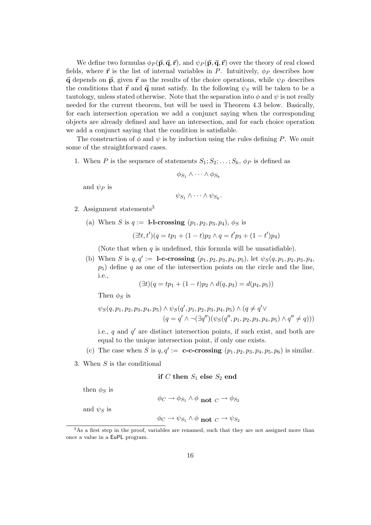We define two formulas  $\phi_P(\vec{p}, \vec{q}, \vec{r})$ , and  $\psi_P(\vec{p}, \vec{q}, \vec{r})$  over the theory of real closed fields, where **r** is the list of internal variables in P. Intuitively,  $\phi_P$  describes how **q** depends on **p**, given **r** as the results of the choice operations, while  $\psi_P$  describes the conditions that **r** and **q** must satisfy. In the following  $\psi_S$  will be taken to be a tautology, unless stated otherwise. Note that the separation into  $\phi$  and  $\psi$  is not really needed for the current theorem, but will be used in Theorem 4.3 below. Basically, for each intersection operation we add a conjunct saying when the corresponding objects are already defined and have an intersection, and for each choice operation we add a conjunct saying that the condition is satisfiable.

The construction of  $\phi$  and  $\psi$  is by induction using the rules defining P. We omit some of the straightforward cases.

1. When P is the sequence of statements  $S_1; S_2; \ldots; S_k$ ,  $\phi_P$  is defined as

$$
\phi_{S_1} \wedge \cdots \wedge \phi_{S_k}
$$

and  $\psi_P$  is

$$
\psi_{S_1} \wedge \cdots \wedge \psi_{S_k}.
$$

- 2. Assignment statements<sup>3</sup>
	- (a) When S is  $q := 1$ -**l**-crossing  $(p_1, p_2, p_3, p_4)$ ,  $\phi_S$  is

$$
(\exists!t, t')(q = tp_1 + (1-t)p_2 \land q = t'p_3 + (1-t')p_4)
$$

(Note that when  $q$  is undefined, this formula will be unsatisfiable).

(b) When S is  $q, q' := 1$ -c-crossing  $(p_1, p_2, p_3, p_4, p_5)$ , let  $\psi_S(q, p_1, p_2, p_3, p_4, p_5)$  $p<sub>5</sub>$ ) define q as one of the intersection points on the circle and the line, i.e.,

$$
(\exists t)(q = tp_1 + (1-t)p_2 \land d(q, p_3) = d(p_4, p_5))
$$

Then  $\phi_S$  is

$$
\psi_S(q, p_1, p_2, p_3, p_4, p_5) \land \psi_S(q', p_1, p_2, p_3, p_4, p_5) \land (q \neq q' \lor (q = q' \land \neg(\exists q'')(\psi_S(q'', p_1, p_2, p_3, p_4, p_5) \land q'' \neq q)))
$$

i.e., q and  $q'$  are distinct intersection points, if such exist, and both are equal to the unique intersection point, if only one exists.

- (c) The case when S is  $q, q' := \mathbf{c-c}$ -crossing  $(p_1, p_2, p_3, p_4, p_5, p_6)$  is similar.
- 3. When  $S$  is the conditional

**if** C **then**  $S_1$  **else**  $S_2$  **end** 

then  $\phi_S$  is

 $\phi_C \rightarrow \phi_{S_1} \land \phi$  not  $\phi \rightarrow \phi_{S_2}$ 

and  $\psi_S$  is

$$
\phi_C \to \psi_{S_1} \land \phi \text{ not } C \to \psi_{S_2}
$$

<sup>&</sup>lt;sup>3</sup>As a first step in the proof, variables are renamed, such that they are not assigned more than once a value in a EuPL program.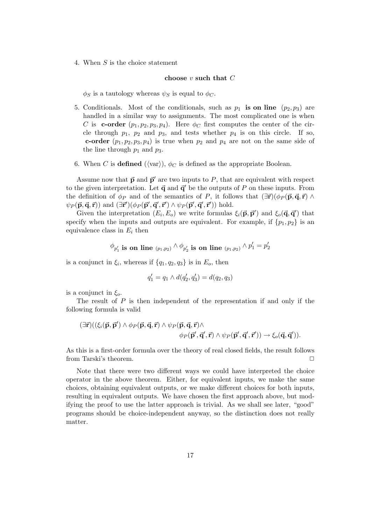4. When S is the choice statement

#### **choose** v **such that** C

 $\phi_S$  is a tautology whereas  $\psi_S$  is equal to  $\phi_C$ .

- 5. Conditionals. Most of the conditionals, such as  $p_1$  **is on line**  $(p_2, p_3)$  are handled in a similar way to assignments. The most complicated one is when C is **c-order**  $(p_1, p_2, p_3, p_4)$ . Here  $\phi_C$  first computes the center of the circle through  $p_1$ ,  $p_2$  and  $p_3$ , and tests whether  $p_4$  is on this circle. If so, **c-order**  $(p_1, p_2, p_3, p_4)$  is true when  $p_2$  and  $p_4$  are not on the same side of the line through  $p_1$  and  $p_3$ .
- 6. When C is **defined**  $(\langle \text{var} \rangle), \phi_C$  is defined as the appropriate Boolean.

Assume now that  $\vec{p}$  and  $\vec{p}'$  are two inputs to P, that are equivalent with respect to the given interpretation. Let  $\vec{q}$  and  $\vec{q}'$  be the outputs of P on these inputs. From the definition of  $\phi_P$  and of the semantics of P, it follows that  $(\exists \vec{r})(\phi_P(\vec{p}, \vec{q}, \vec{r}) \land$  $\psi_P(\vec{\mathbf{p}}, \vec{\mathbf{q}}, \vec{\mathbf{r}})$ ) and  $(\exists \vec{\mathbf{r}}')(\phi_P(\vec{\mathbf{p}}', \vec{\mathbf{q}}', \vec{\mathbf{r}}')) \wedge \psi_P(\vec{\mathbf{p}}', \vec{\mathbf{q}}', \vec{\mathbf{r}}'))$  hold.

Given the interpretation  $(E_i, E_o)$  we write formulas  $\xi_i(\vec{p}, \vec{p}')$  and  $\xi_o(\vec{q}, \vec{q}')$  that specify when the inputs and outputs are equivalent. For example, if  $\{p_1, p_2\}$  is an equivalence class in  $E_i$  then

$$
\phi_{p'_1}
$$
 is on line  $(p_1, p_2) \wedge \phi_{p'_2}$  is on line  $(p_1, p_2) \wedge p'_1 = p'_2$ 

is a conjunct in  $\xi_i$ , whereas if  $\{q_1, q_2, q_3\}$  is in  $E_o$ , then

$$
q'_1 = q_1 \wedge d(q'_2, q'_3) = d(q_2, q_3)
$$

is a conjunct in  $\xi_o$ .

The result of  $P$  is then independent of the representation if and only if the following formula is valid

$$
(\exists \vec{r})((\xi_i(\vec{p}, \vec{p}') \land \phi_P(\vec{p}, \vec{q}, \vec{r}) \land \psi_P(\vec{p}, \vec{q}, \vec{r}) \land \phi_P(\vec{p}', \vec{q}', \vec{r})) \rightarrow \xi_o(\vec{q}, \vec{q}').
$$
  
\n
$$
\phi_P(\vec{p}', \vec{q}', \vec{r}) \land \psi_P(\vec{p}', \vec{q}', \vec{r}')) \rightarrow \xi_o(\vec{q}, \vec{q}')).
$$

As this is a first-order formula over the theory of real closed fields, the result follows from Tarski's theorem.

Note that there were two different ways we could have interpreted the choice operator in the above theorem. Either, for equivalent inputs, we make the same choices, obtaining equivalent outputs, or we make different choices for both inputs, resulting in equivalent outputs. We have chosen the first approach above, but modifying the proof to use the latter approach is trivial. As we shall see later, "good" programs should be choice-independent anyway, so the distinction does not really matter.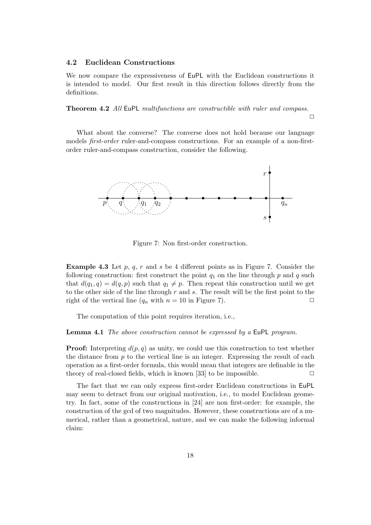#### **4.2 Euclidean Constructions**

We now compare the expressiveness of EuPL with the Euclidean constructions it is intended to model. Our first result in this direction follows directly from the definitions.

**Theorem 4.2** *All* EuPL *multifunctions are constructible with ruler and compass.*

 $\Box$ 

What about the converse? The converse does not hold because our language models *first-order* ruler-and-compass constructions. For an example of a non-firstorder ruler-and-compass construction, consider the following.



Figure 7: Non first-order construction.

**Example 4.3** Let p, q, r and s be 4 different points as in Figure 7. Consider the following construction: first construct the point  $q_1$  on the line through p and q such that  $d(q_1, q) = d(q, p)$  such that  $q_1 \neq p$ . Then repeat this construction until we get to the other side of the line through  $r$  and  $s$ . The result will be the first point to the right of the vertical line  $(q_n \text{ with } n = 10 \text{ in Figure 7}).$ 

The computation of this point requires iteration, i.e.,

**Lemma 4.1** *The above construction cannot be expressed by a* EuPL *program.*

**Proof:** Interpreting  $d(p, q)$  as unity, we could use this construction to test whether the distance from  $p$  to the vertical line is an integer. Expressing the result of each operation as a first-order formula, this would mean that integers are definable in the theory of real-closed fields, which is known [33] to be impossible.  $\Box$ 

The fact that we can only express first-order Euclidean constructions in EuPL may seem to detract from our original motivation, i.e., to model Euclidean geometry. In fact, some of the constructions in [24] are non first-order: for example, the construction of the gcd of two magnitudes. However, these constructions are of a numerical, rather than a geometrical, nature, and we can make the following informal claim: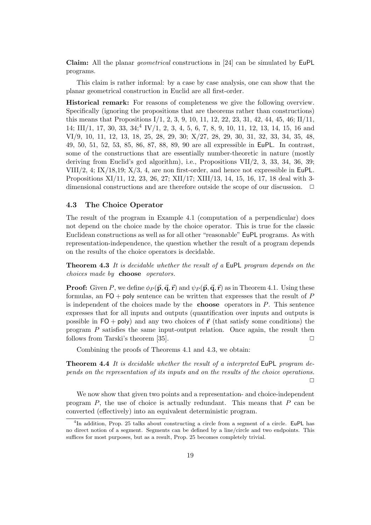**Claim:** All the planar *geometrical* constructions in [24] can be simulated by EuPL programs.

This claim is rather informal: by a case by case analysis, one can show that the planar geometrical construction in Euclid are all first-order.

**Historical remark:** For reasons of completeness we give the following overview. Specifically (ignoring the propositions that are theorems rather than constructions) this means that Propositions I/1, 2, 3, 9, 10, 11, 12, 22, 23, 31, 42, 44, 45, 46; II/11, 14; III/1, 17, 30, 33, 34;<sup>4</sup> IV/1, 2, 3, 4, 5, 6, 7, 8, 9, 10, 11, 12, 13, 14, 15, 16 and VI/9, 10, 11, 12, 13, 18, 25, 28, 29, 30; X/27, 28, 29, 30, 31, 32, 33, 34, 35, 48, 49, 50, 51, 52, 53, 85, 86, 87, 88, 89, 90 are all expressible in EuPL. In contrast, some of the constructions that are essentially number-theoretic in nature (mostly deriving from Euclid's gcd algorithm), i.e., Propositions VII/2, 3, 33, 34, 36, 39; VIII/2, 4; IX/18,19; X/3, 4, are non first-order, and hence not expressible in EuPL. Propositions XI/11, 12, 23, 26, 27; XII/17; XIII/13, 14, 15, 16, 17, 18 deal with 3 dimensional constructions and are therefore outside the scope of our discussion.  $\Box$ 

## **4.3 The Choice Operator**

The result of the program in Example 4.1 (computation of a perpendicular) does not depend on the choice made by the choice operator. This is true for the classic Euclidean constructions as well as for all other "reasonable" EuPL programs. As with representation-independence, the question whether the result of a program depends on the results of the choice operators is decidable.

**Theorem 4.3** *It is decidable whether the result of a* EuPL *program depends on the choices made by* **choose** *operators.*

**Proof:** Given P, we define  $\phi_P(\vec{p}, \vec{q}, \vec{r})$  and  $\psi_P(\vec{p}, \vec{q}, \vec{r})$  as in Theorem 4.1. Using these formulas, an  $FO + poly$  sentence can be written that expresses that the result of P is independent of the choices made by the **choose** operators in P. This sentence expresses that for all inputs and outputs (quantification over inputs and outputs is possible in  $FO + poly$  and any two choices of **r** (that satisfy some conditions) the program P satisfies the same input-output relation. Once again, the result then follows from Tarski's theorem [35].  $\square$ 

Combining the proofs of Theorems 4.1 and 4.3, we obtain:

**Theorem 4.4** *It is decidable whether the result of a interpreted* EuPL *program depends on the representation of its inputs and on the results of the choice operations.*  $\Box$ 

We now show that given two points and a representation- and choice-independent program  $P$ , the use of choice is actually redundant. This means that  $P$  can be converted (effectively) into an equivalent deterministic program.

 $4$ In addition, Prop. 25 talks about constructing a circle from a segment of a circle. EuPL has no direct notion of a segment. Segments can be defined by a line/circle and two endpoints. This suffices for most purposes, but as a result, Prop. 25 becomes completely trivial.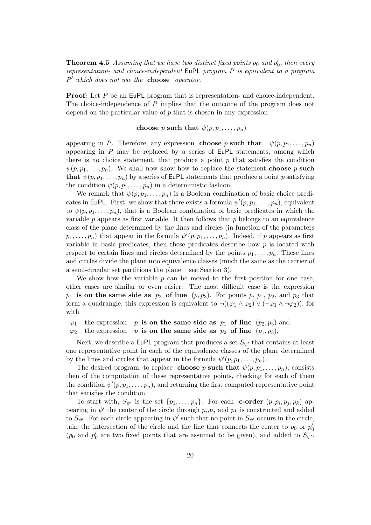**Theorem 4.5** *Assuming that we have two distinct fixed points*  $p_0$  *and*  $p'_0$ *, then every representation- and choice-independent* EuPL *program* P *is equivalent to a program* P *which does not use the* **choose** *operator.*

**Proof:** Let P be an EuPL program that is representation- and choice-independent. The choice-independence of P implies that the outcome of the program does not depend on the particular value of  $p$  that is chosen in any expression

## **choose** p **such that**  $\psi(p, p_1, \ldots, p_n)$

appearing in P. Therefore, any expression **choose** p **such that**  $\psi(p, p_1, \ldots, p_n)$ appearing in  $P$  may be replaced by a series of EuPL statements, among which there is no choice statement, that produce a point  $p$  that satisfies the condition  $\psi(p, p_1, \ldots, p_n)$ . We shall now show how to replace the statement **choose** p **such that**  $\psi(p, p_1, \ldots, p_n)$  by a series of EuPL statements that produce a point p satisfying the condition  $\psi(p, p_1, \ldots, p_n)$  in a deterministic fashion.

We remark that  $\psi(p, p_1, \ldots, p_n)$  is a Boolean combination of basic choice predicates in EuPL. First, we show that there exists a formula  $\psi'(p, p_1, \ldots, p_n)$ , equivalent to  $\psi(p, p_1, \ldots, p_n)$ , that is a Boolean combination of basic predicates in which the variable  $p$  appears as first variable. It then follows that  $p$  belongs to an equivalence class of the plane determined by the lines and circles (in function of the parameters  $p_1, \ldots, p_n$ ) that appear in the formula  $\psi'(p, p_1, \ldots, p_n)$ . Indeed, if p appears as first variable in basic predicates, then these predicates describe how  $p$  is located with respect to certain lines and circles determined by the points  $p_1, \ldots, p_n$ . These lines and circles divide the plane into equivalence classes (much the same as the carrier of a semi-circular set partitions the plane – see Section 3).

We show how the variable  $p$  can be moved to the first position for one case, other cases are similar or even easier. The most difficult case is the expression  $p_1$  **is on the same side as**  $p_2$  of line  $(p, p_3)$ . For points p,  $p_1$ ,  $p_2$ , and  $p_3$  that form a quadrangle, this expression is equivalent to  $\neg((\varphi_1 \land \varphi_2) \lor (\neg \varphi_1 \land \neg \varphi_2))$ , for with

- $\varphi_1$  the expression p **is on the same side as**  $p_1$  of line  $(p_2, p_3)$  and
- $\varphi_2$  the expression p **is on the same side as**  $p_2$  of line  $(p_1, p_3)$ ,

Next, we describe a EuPL program that produces a set  $S_{\psi'}$  that contains at least one representative point in each of the equivalence classes of the plane determined by the lines and circles that appear in the formula  $\psi'(p, p_1, \ldots, p_n)$ .

The desired program, to replace **choose** p **such that**  $\psi(p, p_1, \ldots, p_n)$ , consists then of the computation of these representative points, checking for each of them the condition  $\psi'(p, p_1, \ldots, p_n)$ , and returning the first computed representative point that satisfies the condition.

To start with,  $S_{\psi'}$  is the set  $\{p_1,\ldots,p_n\}$ . For each **c-order**  $(p, p_i, p_j, p_k)$  appearing in  $\psi'$  the center of the circle through  $p_i, p_j$  and  $p_k$  is constructed and added to  $S_{\psi'}$ . For each circle appearing in  $\psi'$  such that no point in  $S_{\psi'}$  occurs in the circle, take the intersection of the circle and the line that connects the center to  $p_0$  or  $p'_0$ ( $p_0$  and  $p'_0$  are two fixed points that are assumed to be given), and added to  $S_{\psi'}$ .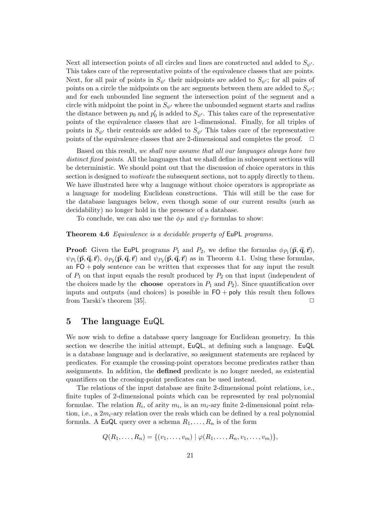Next all intersection points of all circles and lines are constructed and added to  $S_{\psi}$ . This takes care of the representative points of the equivalence classes that are points. Next, for all pair of points in  $S_{\psi'}$  their midpoints are added to  $S_{\psi'}$ ; for all pairs of points on a circle the midpoints on the arc segments between them are added to  $S_{\psi}$ ; and for each unbounded line segment the intersection point of the segment and a circle with midpoint the point in  $S_{\psi'}$  where the unbounded segment starts and radius the distance between  $p_0$  and  $p'_0$  is added to  $S_{\psi'}$ . This takes care of the representative points of the equivalence classes that are 1-dimensional. Finally, for all triples of points in  $S_{\psi'}$  their centroids are added to  $S_{\psi'}$ . This takes care of the representative points of the equivalence classes that are 2-dimensional and completes the proof.  $\Box$ 

Based on this result, *we shall now assume that all our languages always have two distinct fixed points*. All the languages that we shall define in subsequent sections will be deterministic. We should point out that the discussion of choice operators in this section is designed to *motivate* the subsequent sections, not to apply directly to them. We have illustrated here why a language without choice operators is appropriate as a language for modeling Euclidean constructions. This will still be the case for the database languages below, even though some of our current results (such as decidability) no longer hold in the presence of a database.

To conclude, we can also use the  $\phi_P$  and  $\psi_P$  formulas to show:

## **Theorem 4.6** *Equivalence is a decidable property of* EuPL *programs.*

**Proof:** Given the EuPL programs  $P_1$  and  $P_2$ , we define the formulas  $\phi_{P_1}(\vec{p}, \vec{q}, \vec{r})$ ,  $\psi_{P_1}(\vec{p}, \vec{q}, \vec{r})$ ,  $\phi_{P_2}(\vec{p}, \vec{q}, \vec{r})$  and  $\psi_{P_2}(\vec{p}, \vec{q}, \vec{r})$  as in Theorem 4.1. Using these formulas, an  $FO + poly$  sentence can be written that expresses that for any input the result of  $P_1$  on that input equals the result produced by  $P_2$  on that input (independent of the choices made by the **choose** operators in  $P_1$  and  $P_2$ ). Since quantification over inputs and outputs (and choices) is possible in  $FO + poly$  this result then follows from Tarski's theorem [35].  $\square$ 

## **5 The language** EuQL

We now wish to define a database query language for Euclidean geometry. In this section we describe the initial attempt, EuQL, at defining such a language. EuQL is a database language and is declarative, so assignment statements are replaced by predicates. For example the crossing-point operators become predicates rather than assignments. In addition, the **defined** predicate is no longer needed, as existential quantifiers on the crossing-point predicates can be used instead.

The relations of the input database are finite 2-dimensional point relations, i.e., finite tuples of 2-dimensional points which can be represented by real polynomial formulae. The relation  $R_i$ , of arity  $m_i$ , is an  $m_i$ -ary finite 2-dimensional point relation, i.e., a  $2m_i$ -ary relation over the reals which can be defined by a real polynomial formula. A EuQL query over a schema  $R_1, \ldots, R_n$  is of the form

$$
Q(R_1, ..., R_n) = \{(v_1, ..., v_m) | \varphi(R_1, ..., R_n, v_1, ..., v_m)\},\
$$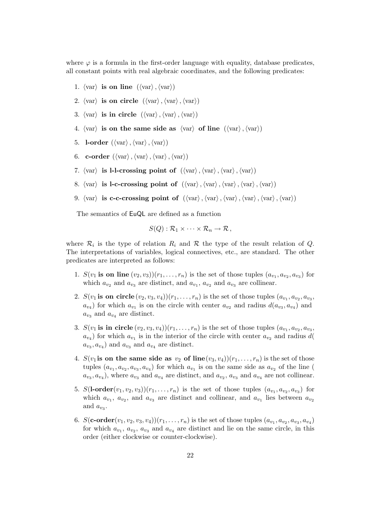where  $\varphi$  is a formula in the first-order language with equality, database predicates, all constant points with real algebraic coordinates, and the following predicates:

- 1.  $\langle var \rangle$  is on line  $(\langle var \rangle, \langle var \rangle)$
- 2.  $\langle var \rangle$  is on circle  $(\langle var \rangle, \langle var \rangle, \langle var \rangle)$
- 3.  $\langle var \rangle$  is in circle  $(\langle var \rangle, \langle var \rangle, \langle var \rangle)$
- 4.  $\langle \text{var} \rangle$  is on the same side as  $\langle \text{var} \rangle$  of line  $(\langle \text{var} \rangle, \langle \text{var} \rangle)$
- 5. **l**-order  $(\langle \text{var} \rangle, \langle \text{var} \rangle, \langle \text{var} \rangle)$
- 6. **c-order**  $(\langle var \rangle, \langle var \rangle, \langle var \rangle, \langle var \rangle)$
- 7.  $\langle var \rangle$  is 1-1-crossing point of  $(\langle var \rangle, \langle var \rangle, \langle var \rangle, \langle var \rangle)$
- 8.  $\langle \text{var} \rangle$  is **l**-c-crossing point of  $(\langle \text{var} \rangle, \langle \text{var} \rangle, \langle \text{var} \rangle, \langle \text{var} \rangle, \langle \text{var} \rangle)$
- 9.  $\langle \text{var} \rangle$  is c-c-crossing point of  $(\langle \text{var} \rangle, \langle \text{var} \rangle, \langle \text{var} \rangle, \langle \text{var} \rangle, \langle \text{var} \rangle, \langle \text{var} \rangle)$

The semantics of EuQL are defined as a function

$$
S(Q): \mathcal{R}_1 \times \cdots \times \mathcal{R}_n \to \mathcal{R},
$$

where  $\mathcal{R}_i$  is the type of relation  $R_i$  and  $\mathcal R$  the type of the result relation of Q. The interpretations of variables, logical connectives, etc., are standard. The other predicates are interpreted as follows:

- 1.  $S(v_1$  is on line  $(v_2, v_3)(r_1, \ldots, r_n)$  is the set of those tuples  $(a_{v_1}, a_{v_2}, a_{v_3})$  for which  $a_{v_2}$  and  $a_{v_3}$  are distinct, and  $a_{v_1}$ ,  $a_{v_2}$  and  $a_{v_3}$  are collinear.
- 2.  $S(v_1 \text{ is on circle } (v_2, v_3, v_4))(r_1, \ldots, r_n)$  is the set of those tuples  $(a_{v_1}, a_{v_2}, a_{v_3},$  $a_{v_4}$ ) for which  $a_{v_1}$  is on the circle with center  $a_{v_2}$  and radius  $d(a_{v_3}, a_{v_4})$  and  $a_{v_3}$  and  $a_{v_4}$  are distinct.
- 3.  $S(v_1 \text{ is in circle } (v_2, v_3, v_4))(r_1, \ldots, r_n)$  is the set of those tuples  $(a_{v_1}, a_{v_2}, a_{v_3},$  $a_{v_4}$ ) for which  $a_{v_1}$  is in the interior of the circle with center  $a_{v_2}$  and radius d(  $a_{v_3}, a_{v_4}$  and  $a_{v_3}$  and  $a_{v_4}$  are distinct.
- 4.  $S(v_1$  is on the same side as  $v_2$  of line $(v_3, v_4)(r_1, \ldots, r_n)$  is the set of those tuples  $(a_{v_1}, a_{v_2}, a_{v_3}, a_{v_4})$  for which  $a_{v_1}$  is on the same side as  $a_{v_2}$  of the line (  $a_{v_3}, a_{v_4}$ , where  $a_{v_3}$  and  $a_{v_4}$  are distinct, and  $a_{v_2}, a_{v_3}$  and  $a_{v_4}$  are not collinear.
- 5.  $S($ **l**-order $(v_1, v_2, v_3)(r_1, \ldots, r_n)$  is the set of those tuples  $(a_{v_1}, a_{v_2}, a_{v_3})$  for which  $a_{v_1}$ ,  $a_{v_2}$ , and  $a_{v_3}$  are distinct and collinear, and  $a_{v_1}$  lies between  $a_{v_2}$ and  $a_{v_3}$ .
- 6.  $S(\textbf{c-order}(v_1, v_2, v_3, v_4))(r_1, \ldots, r_n)$  is the set of those tuples  $(a_{v_1}, a_{v_2}, a_{v_3}, a_{v_4})$ for which  $a_{v_1}$ ,  $a_{v_2}$ ,  $a_{v_3}$  and  $a_{v_4}$  are distinct and lie on the same circle, in this order (either clockwise or counter-clockwise).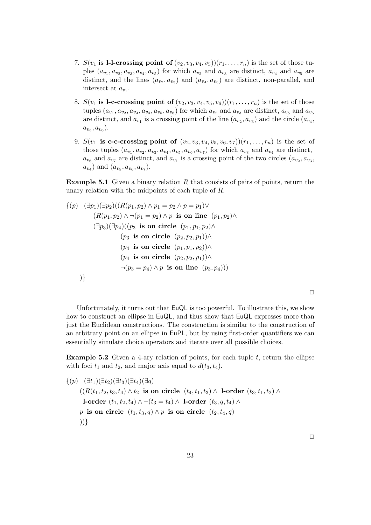- 7.  $S(v_1$  is 1-1-crossing point of  $(v_2, v_3, v_4, v_5)(r_1, \ldots, r_n)$  is the set of those tuples  $(a_{v_1}, a_{v_2}, a_{v_3}, a_{v_4}, a_{v_5})$  for which  $a_{v_2}$  and  $a_{v_3}$  are distinct,  $a_{v_4}$  and  $a_{v_5}$  are distinct, and the lines  $(a_{v_2}, a_{v_3})$  and  $(a_{v_4}, a_{v_5})$  are distinct, non-parallel, and intersect at  $a_{v_1}$ .
- 8.  $S(v_1$  is 1-c-crossing point of  $(v_2, v_3, v_4, v_5, v_6)$ ) $(r_1, \ldots, r_n)$  is the set of those tuples  $(a_{v_1}, a_{v_2}, a_{v_3}, a_{v_4}, a_{v_5}, a_{v_6})$  for which  $a_{v_2}$  and  $a_{v_3}$  are distinct,  $a_{v_5}$  and  $a_{v_6}$ are distinct, and  $a_{v_1}$  is a crossing point of the line  $(a_{v_2}, a_{v_3})$  and the circle  $(a_{v_4}, a_{v_5})$  $a_{v_5}, a_{v_6}$ .
- 9.  $S(v_1$  is c-c-crossing point of  $(v_2, v_3, v_4, v_5, v_6, v_7)(r_1, \ldots, r_n)$  is the set of those tuples  $(a_{v_1}, a_{v_2}, a_{v_3}, a_{v_4}, a_{v_5}, a_{v_6}, a_{v_7})$  for which  $a_{v_3}$  and  $a_{v_4}$  are distinct,  $a_{v_6}$  and  $a_{v_7}$  are distinct, and  $a_{v_1}$  is a crossing point of the two circles  $(a_{v_2}, a_{v_3}, a_{v_4})$  $(a_{v_4})$  and  $(a_{v_5}, a_{v_6}, a_{v_7}).$

**Example 5.1** Given a binary relation R that consists of pairs of points, return the unary relation with the midpoints of each tuple of R.

$$
\{(p) \mid (\exists p_1)(\exists p_2)((R(p_1, p_2) \land p_1 = p_2 \land p = p_1) \lor
$$
  
\n
$$
(R(p_1, p_2) \land \neg(p_1 = p_2) \land p \text{ is on line } (p_1, p_2) \land
$$
  
\n
$$
(\exists p_3)(\exists p_4)((p_3 \text{ is on circle } (p_1, p_1, p_2) \land
$$
  
\n
$$
(p_3 \text{ is on circle } (p_2, p_2, p_1)) \land
$$
  
\n
$$
(p_4 \text{ is on circle } (p_2, p_2, p_1)) \land
$$
  
\n
$$
\neg(p_3 = p_4) \land p \text{ is on line } (p_3, p_4)))
$$
  
\n
$$
\big)
$$

Unfortunately, it turns out that EuQL is too powerful. To illustrate this, we show how to construct an ellipse in  $EuQL$ , and thus show that EuQL expresses more than just the Euclidean constructions. The construction is similar to the construction of an arbitrary point on an ellipse in EuPL, but by using first-order quantifiers we can essentially simulate choice operators and iterate over all possible choices.

**Example 5.2** Given a 4-ary relation of points, for each tuple  $t$ , return the ellipse with foci  $t_1$  and  $t_2$ , and major axis equal to  $d(t_3, t_4)$ .

 $\{(p) | (\exists t_1)(\exists t_2)(\exists t_3)(\exists t_4)(\exists q)$  $((R(t_1, t_2, t_3, t_4) ∧ t_2)$  **is on circle**  $(t_4, t_1, t_3) ∧ 1$ -order  $(t_3, t_1, t_2) ∧$ **l-order**  $(t_1, t_2, t_4) \land \neg(t_3 = t_4) \land$  **l-order**  $(t_3, q, t_4) \land$ p is on circle  $(t_1, t_3, q) \wedge p$  is on circle  $(t_2, t_4, q)$ ))}

 $\Box$ 

 $\Box$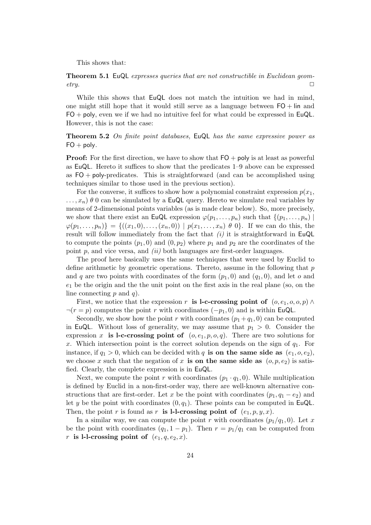This shows that:

**Theorem 5.1** EuQL *expresses queries that are not constructible in Euclidean geometry.* □

While this shows that EuQL does not match the intuition we had in mind, one might still hope that it would still serve as a language between  $FO + lin$  and  $FO + poly$ , even we if we had no intuitive feel for what could be expressed in EuQL. However, this is not the case:

**Theorem 5.2** *On finite point databases,* EuQL *has the same expressive power as*  $FO + poly.$ 

**Proof:** For the first direction, we have to show that  $FO + poly$  is at least as powerful as EuQL. Hereto it suffices to show that the predicates 1–9 above can be expressed as  $FO + poly-predicates$ . This is straightforward (and can be accomplished using techniques similar to those used in the previous section).

For the converse, it suffices to show how a polynomial constraint expression  $p(x_1, x_2)$  $...,x_n$ )  $\theta$  0 can be simulated by a **EuQL** query. Hereto we simulate real variables by means of 2-dimensional points variables (as is made clear below). So, more precisely, we show that there exist an EuQL expression  $\varphi(p_1,\ldots,p_n)$  such that  $\{(p_1,\ldots,p_n)\mid$  $\varphi(p_1,...,p_n) = \{((x_1,0),...,(x_n,0)) \mid p(x_1,...,x_n) \theta_0\}$ . If we can do this, the result will follow immediately from the fact that *(i)* it is straightforward in EuQL to compute the points  $(p_1, 0)$  and  $(0, p_2)$  where  $p_1$  and  $p_2$  are the coordinates of the point p, and vice versa, and *(ii)* both languages are first-order languages.

The proof here basically uses the same techniques that were used by Euclid to define arithmetic by geometric operations. Thereto, assume in the following that  $p$ and q are two points with coordinates of the form  $(p_1, 0)$  and  $(q_1, 0)$ , and let o and  $e_1$  be the origin and the the unit point on the first axis in the real plane (so, on the line connecting  $p$  and  $q$ ).

First, we notice that the expression r **is l-c-crossing point of**  $(o, e_1, o, o, p) \wedge$  $\neg(r = p)$  computes the point r with coordinates  $(-p_1, 0)$  and is within EuQL.

Secondly, we show how the point r with coordinates  $(p_1 + q_1, 0)$  can be computed in EuQL. Without loss of generality, we may assume that  $p_1 > 0$ . Consider the expression x **is l-c-crossing point of**  $(o, e_1, p, o, q)$ . There are two solutions for x. Which intersection point is the correct solution depends on the sign of  $q_1$ . For instance, if  $q_1 > 0$ , which can be decided with q **is on the same side as**  $(e_1, o, e_2)$ , we choose x such that the negation of x **is on the same side as**  $(o, p, e_2)$  is satisfied. Clearly, the complete expression is in EuQL.

Next, we compute the point r with coordinates  $(p_1 \cdot q_1, 0)$ . While multiplication is defined by Euclid in a non-first-order way, there are well-known alternative constructions that are first-order. Let x be the point with coordinates  $(p_1, q_1 - e_2)$  and let y be the point with coordinates  $(0, q_1)$ . These points can be computed in EuQL. Then, the point r is found as r **is l-l-crossing point of**  $(e_1, p, y, x)$ .

In a similar way, we can compute the point r with coordinates  $(p_1/q_1, 0)$ . Let x be the point with coordinates  $(q_1, 1 - p_1)$ . Then  $r = p_1/q_1$  can be computed from r is l-l-crossing point of  $(e_1, q, e_2, x)$ .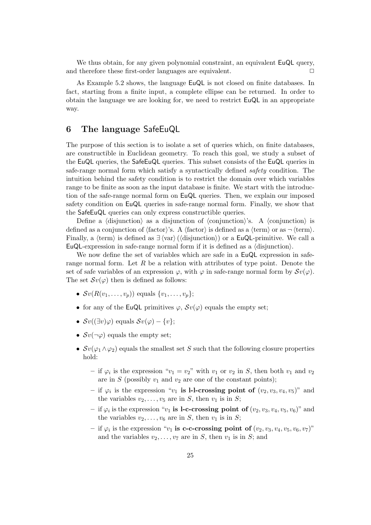We thus obtain, for any given polynomial constraint, an equivalent EuQL query, and therefore these first-order languages are equivalent.  $\Box$ 

As Example 5.2 shows, the language EuQL is not closed on finite databases. In fact, starting from a finite input, a complete ellipse can be returned. In order to obtain the language we are looking for, we need to restrict EuQL in an appropriate way.

# **6 The language** SafeEuQL

The purpose of this section is to isolate a set of queries which, on finite databases, are constructible in Euclidean geometry. To reach this goal, we study a subset of the EuQL queries, the SafeEuQL queries. This subset consists of the EuQL queries in safe-range normal form which satisfy a syntactically defined *safety* condition. The intuition behind the safety condition is to restrict the domain over which variables range to be finite as soon as the input database is finite. We start with the introduction of the safe-range normal form on EuQL queries. Then, we explain our imposed safety condition on EuQL queries in safe-range normal form. Finally, we show that the SafeEuQL queries can only express constructible queries.

Define a  $\langle$  disjunction $\rangle$  as a disjunction of  $\langle$  conjunction $\rangle$ 's. A  $\langle$  conjunction $\rangle$  is defined as a conjunction of  $\{\text{factor}\}\$ 's. A  $\{\text{factor}\}\$ is defined as a  $\{\text{term}\}\$  or as  $\neg \{\text{term}\}\$ . Finally, a  $\langle \text{term} \rangle$  is defined as  $\exists \langle \text{var} \rangle (\langle \text{disjunction} \rangle)$  or a **EuQL**-primitive. We call a EuQL-expression in safe-range normal form if it is defined as a  $\langle$  disjunction $\rangle$ .

We now define the set of variables which are safe in a  $EuQL$  expression in saferange normal form. Let R be a relation with attributes of type point. Denote the set of safe variables of an expression  $\varphi$ , with  $\varphi$  in safe-range normal form by  $\mathcal{S}v(\varphi)$ . The set  $\mathcal{S}v(\varphi)$  then is defined as follows:

- $\mathcal{S}v(R(v_1,...,v_p))$  equals  $\{v_1,...,v_p\};$
- for any of the EuQL primitives  $\varphi$ ,  $\mathcal{S}v(\varphi)$  equals the empty set;
- $\mathcal{S}v((\exists v)\varphi)$  equals  $\mathcal{S}v(\varphi) \{v\};$
- $\mathcal{S}v(\neg\varphi)$  equals the empty set;
- $\mathcal{S}v(\varphi_1 \wedge \varphi_2)$  equals the smallest set S such that the following closure properties hold:
	- if  $\varphi_i$  is the expression " $v_1 = v_2$ " with  $v_1$  or  $v_2$  in S, then both  $v_1$  and  $v_2$ are in S (possibly  $v_1$  and  $v_2$  are one of the constant points);
	- $-$  if  $\varphi_i$  is the expression " $v_1$  is **l-l-crossing point of**  $(v_2, v_3, v_4, v_5)$ " and the variables  $v_2, \ldots, v_5$  are in S, then  $v_1$  is in S;
	- $-$  if  $\varphi_i$  is the expression " $v_1$  is 1-c-crossing point of  $(v_2, v_3, v_4, v_5, v_6)$ " and the variables  $v_2, \ldots, v_6$  are in S, then  $v_1$  is in S;
	- $-$  if  $\varphi_i$  is the expression "v<sub>1</sub> is **c-c-crossing point of**  $(v_2, v_3, v_4, v_5, v_6, v_7)$ " and the variables  $v_2, \ldots, v_7$  are in S, then  $v_1$  is in S; and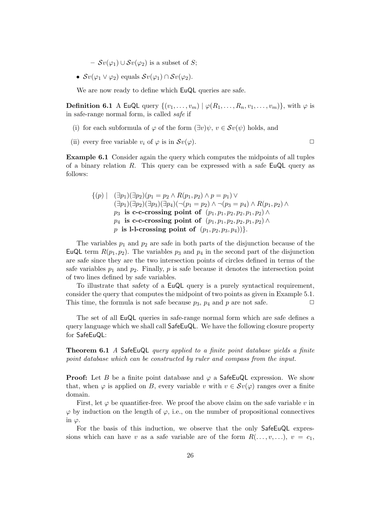$-$  *Sv*( $\varphi$ <sub>1</sub>) ∪ *Sv*( $\varphi$ <sub>2</sub>) is a subset of *S*;

•  $\mathcal{S}v(\varphi_1 \vee \varphi_2)$  equals  $\mathcal{S}v(\varphi_1) \cap \mathcal{S}v(\varphi_2)$ .

We are now ready to define which  $EuQL$  queries are safe.

**Definition 6.1** A EuQL query  $\{(v_1,\ldots,v_m) | \varphi(R_1,\ldots,R_n,v_1,\ldots,v_m)\}$ , with  $\varphi$  is in safe-range normal form, is called *safe* if

- (i) for each subformula of  $\varphi$  of the form  $(\exists v)\psi, v \in \mathcal{S}v(\psi)$  holds, and
- (ii) every free variable  $v_i$  of  $\varphi$  is in  $\mathcal{S}v(\varphi)$ .

**Example 6.1** Consider again the query which computes the midpoints of all tuples of a binary relation R. This query can be expressed with a safe EuQL query as follows:

$$
\{(p) \mid (\exists p_1)(\exists p_2)(p_1 = p_2 \land R(p_1, p_2) \land p = p_1) \lor (\exists p_1)(\exists p_2)(\exists p_3)(\exists p_4)(\neg(p_1 = p_2) \land \neg(p_3 = p_4) \land R(p_1, p_2) \land p_3 \text{ is c-c-crossing point of } (p_1, p_1, p_2, p_2, p_1, p_2) \land p_4 \text{ is c-c-crossing point of } (p_1, p_1, p_2, p_2, p_1, p_2) \land p \text{ is l-l-crossing point of } (p_1, p_2, p_3, p_4))\}.
$$

The variables  $p_1$  and  $p_2$  are safe in both parts of the disjunction because of the EuQL term  $R(p_1, p_2)$ . The variables  $p_3$  and  $p_4$  in the second part of the disjunction are safe since they are the two intersection points of circles defined in terms of the safe variables  $p_1$  and  $p_2$ . Finally, p is safe because it denotes the intersection point of two lines defined by safe variables.

To illustrate that safety of a EuQL query is a purely syntactical requirement, consider the query that computes the midpoint of two points as given in Example 5.1. This time, the formula is not safe because  $p_3$ ,  $p_4$  and p are not safe.  $\Box$ 

The set of all EuQL queries in safe-range normal form which are safe defines a query language which we shall call SafeEuQL. We have the following closure property for SafeEuQL:

**Theorem 6.1** *A* SafeEuQL *query applied to a finite point database yields a finite point database which can be constructed by ruler and compass from the input.*

**Proof:** Let B be a finite point database and  $\varphi$  a SafeEuQL expression. We show that, when  $\varphi$  is applied on B, every variable v with  $v \in \mathcal{S}v(\varphi)$  ranges over a finite domain.

First, let  $\varphi$  be quantifier-free. We proof the above claim on the safe variable v in  $\varphi$  by induction on the length of  $\varphi$ , i.e., on the number of propositional connectives in  $\varphi$ .

For the basis of this induction, we observe that the only SafeEuQL expressions which can have v as a safe variable are of the form  $R(\ldots, v, \ldots)$ ,  $v = c_1$ ,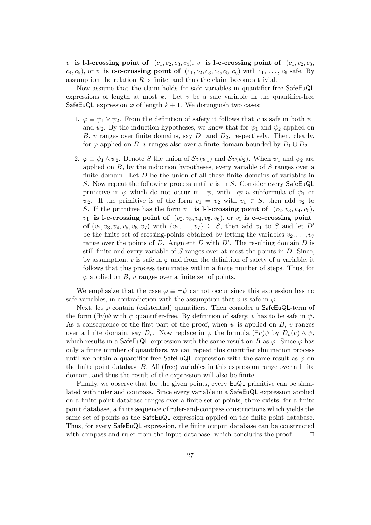v is l-l-crossing point of  $(c_1, c_2, c_3, c_4)$ , v is l-c-crossing point of  $(c_1, c_2, c_3, c_4)$  $c_4, c_5$ , or v is c-c-crossing point of  $(c_1, c_2, c_3, c_4, c_5, c_6)$  with  $c_1, \ldots, c_6$  safe. By assumption the relation  $R$  is finite, and thus the claim becomes trivial.

Now assume that the claim holds for safe variables in quantifier-free SafeEuQL expressions of length at most k. Let  $v$  be a safe variable in the quantifier-free SafeEuQL expression  $\varphi$  of length  $k + 1$ . We distinguish two cases:

- 1.  $\varphi \equiv \psi_1 \vee \psi_2$ . From the definition of safety it follows that v is safe in both  $\psi_1$ and  $\psi_2$ . By the induction hypotheses, we know that for  $\psi_1$  and  $\psi_2$  applied on B, v ranges over finite domains, say  $D_1$  and  $D_2$ , respectively. Then, clearly, for  $\varphi$  applied on B, v ranges also over a finite domain bounded by  $D_1 \cup D_2$ .
- 2.  $\varphi \equiv \psi_1 \wedge \psi_2$ . Denote S the union of  $\mathcal{S}v(\psi_1)$  and  $\mathcal{S}v(\psi_2)$ . When  $\psi_1$  and  $\psi_2$  are applied on  $B$ , by the induction hypotheses, every variable of  $S$  ranges over a finite domain. Let D be the union of all these finite domains of variables in S. Now repeat the following process until v is in S. Consider every SafeEuQL primitive in  $\varphi$  which do not occur in  $\neg \psi$ , with  $\neg \psi$  a subformula of  $\psi_1$  or  $\psi_2$ . If the primitive is of the form  $v_1 = v_2$  with  $v_1 \in S$ , then add  $v_2$  to S. If the primitive has the form  $v_1$  **is l-l-crossing point of**  $(v_2, v_3, v_4, v_5)$ ,  $v_1$  is l-c-crossing point of  $(v_2, v_3, v_4, v_5, v_6)$ , or  $v_1$  is c-c-crossing point **of**  $(v_2, v_3, v_4, v_5, v_6, v_7)$  with  $\{v_2, \ldots, v_7\}$  ⊆ S, then add  $v_1$  to S and let D' be the finite set of crossing-points obtained by letting the variables  $v_2, \ldots, v_7$ range over the points of D. Augment D with  $D'$ . The resulting domain D is still finite and every variable of  $S$  ranges over at most the points in  $D$ . Since, by assumption, v is safe in  $\varphi$  and from the definition of safety of a variable, it follows that this process terminates within a finite number of steps. Thus, for  $\varphi$  applied on B, v ranges over a finite set of points.

We emphasize that the case  $\varphi \equiv \neg \psi$  cannot occur since this expression has no safe variables, in contradiction with the assumption that v is safe in  $\varphi$ .

Next, let  $\varphi$  contain (existential) quantifiers. Then consider a SafeEuQL-term of the form  $(\exists v)\psi$  with  $\psi$  quantifier-free. By definition of safety, v has to be safe in  $\psi$ . As a consequence of the first part of the proof, when  $\psi$  is applied on B, v ranges over a finite domain, say  $D_v$ . Now replace in  $\varphi$  the formula  $(\exists v)\psi$  by  $D_v(v) \wedge \psi$ , which results in a SafeEuQL expression with the same result on B as  $\varphi$ . Since  $\varphi$  has only a finite number of quantifiers, we can repeat this quantifier elimination process until we obtain a quantifier-free SafeEuQL expression with the same result as  $\varphi$  on the finite point database  $B$ . All (free) variables in this expression range over a finite domain, and thus the result of the expression will also be finite.

Finally, we observe that for the given points, every EuQL primitive can be simulated with ruler and compass. Since every variable in a SafeEuQL expression applied on a finite point database ranges over a finite set of points, there exists, for a finite point database, a finite sequence of ruler-and-compass constructions which yields the same set of points as the SafeEuQL expression applied on the finite point database. Thus, for every SafeEuQL expression, the finite output database can be constructed with compass and ruler from the input database, which concludes the proof.  $\Box$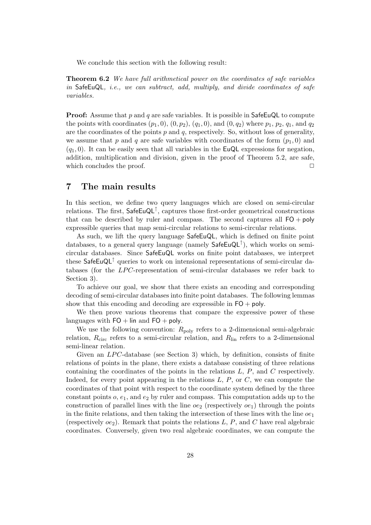We conclude this section with the following result:

**Theorem 6.2** *We have full arithmetical power on the coordinates of safe variables in* SafeEuQL*, i.e., we can subtract, add, multiply, and divide coordinates of safe variables.*

**Proof:** Assume that p and q are safe variables. It is possible in  $\mathsf{SafeEuQL}$  to compute the points with coordinates  $(p_1, 0), (0, p_2), (q_1, 0),$  and  $(0, q_2)$  where  $p_1, p_2, q_1$ , and  $q_2$ are the coordinates of the points  $p$  and  $q$ , respectively. So, without loss of generality, we assume that p and q are safe variables with coordinates of the form  $(p_1, 0)$  and  $(q_1, 0)$ . It can be easily seen that all variables in the EuQL expressions for negation, addition, multiplication and division, given in the proof of Theorem 5.2, are safe, which concludes the proof.  $\Box$ 

## **7 The main results**

In this section, we define two query languages which are closed on semi-circular relations. The first,  $\mathsf{SafeEuQL}^{\uparrow}$ , captures those first-order geometrical constructions that can be described by ruler and compass. The second captures all  $FO + poly$ expressible queries that map semi-circular relations to semi-circular relations.

As such, we lift the query language SafeEuQL, which is defined on finite point databases, to a general query language (namely  $\mathsf{SafeEuQL}^{\dagger}$ ), which works on semicircular databases. Since SafeEuQL works on finite point databases, we interpret these SafeEuQL↑ queries to work on intensional representations of semi-circular databases (for the LPC-representation of semi-circular databases we refer back to Section 3).

To achieve our goal, we show that there exists an encoding and corresponding decoding of semi-circular databases into finite point databases. The following lemmas show that this encoding and decoding are expressible in  $FO + \text{poly}$ .

We then prove various theorems that compare the expressive power of these languages with  $FO + lin$  and  $FO + poly$ .

We use the following convention:  $R_{\text{poly}}$  refers to a 2-dimensional semi-algebraic relation,  $R_{\text{circ}}$  refers to a semi-circular relation, and  $R_{\text{lin}}$  refers to a 2-dimensional semi-linear relation.

Given an  $LPC$ -database (see Section 3) which, by definition, consists of finite relations of points in the plane, there exists a database consisting of three relations containing the coordinates of the points in the relations L, P, and C respectively. Indeed, for every point appearing in the relations  $L, P$ , or  $C$ , we can compute the coordinates of that point with respect to the coordinate system defined by the three constant points  $o, e_1$ , and  $e_2$  by ruler and compass. This computation adds up to the construction of parallel lines with the line  $oe_2$  (respectively  $oe_1$ ) through the points in the finite relations, and then taking the intersection of these lines with the line  $oe<sub>1</sub>$ (respectively  $oe_2$ ). Remark that points the relations L, P, and C have real algebraic coordinates. Conversely, given two real algebraic coordinates, we can compute the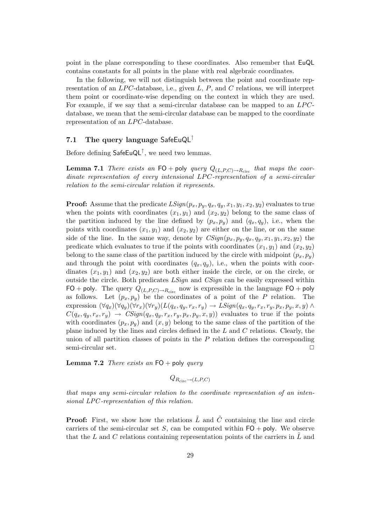point in the plane corresponding to these coordinates. Also remember that EuQL contains constants for all points in the plane with real algebraic coordinates.

In the following, we will not distinguish between the point and coordinate representation of an  $LPC$ -database, i.e., given  $L$ ,  $P$ , and  $C$  relations, we will interpret them point or coordinate-wise depending on the context in which they are used. For example, if we say that a semi-circular database can be mapped to an  $LPC$ database, we mean that the semi-circular database can be mapped to the coordinate representation of an  $LPC$ -database.

## **7.1 The query language** SafeEuQL<sup>↑</sup>

Before defining  $\mathsf{SafeEuQL}^{\uparrow}$ , we need two lemmas.

**Lemma 7.1** *There exists an*  $FO + poly$  *query*  $Q_{(L,P,C) \to R_{circ}}$  *that maps the coordinate representation of every intensional LPC-representation of a semi-circular relation to the semi-circular relation it represents.*

**Proof:** Assume that the predicate  $LSign(p_x, p_y, q_x, q_y, x_1, y_1, x_2, y_2)$  evaluates to true when the points with coordinates  $(x_1, y_1)$  and  $(x_2, y_2)$  belong to the same class of the partition induced by the line defined by  $(p_x, p_y)$  and  $(q_x, q_y)$ , i.e., when the points with coordinates  $(x_1, y_1)$  and  $(x_2, y_2)$  are either on the line, or on the same side of the line. In the same way, denote by  $CSign(p_x, p_y, q_x, q_y, x_1, y_1, x_2, y_2)$  the predicate which evaluates to true if the points with coordinates  $(x_1, y_1)$  and  $(x_2, y_2)$ belong to the same class of the partition induced by the circle with midpoint  $(p_x, p_y)$ and through the point with coordinates  $(q_x, q_y)$ , i.e., when the points with coordinates  $(x_1, y_1)$  and  $(x_2, y_2)$  are both either inside the circle, or on the circle, or outside the circle. Both predicates *LSign* and *CSign* can be easily expressed within FO + poly. The query  $Q_{(L,P,C)\to R_{\text{circ}}}$  now is expressible in the language FO + poly as follows. Let  $(p_x, p_y)$  be the coordinates of a point of the P relation. The expression  $(\forall q_x)(\forall q_y)(\forall r_x)(\forall r_y)(L(q_x, q_y, r_x, r_y) \rightarrow LSign(q_x, q_y, r_x, r_y, p_x, p_y, x, y) \land$  $C(q_x, q_y, r_x, r_y) \rightarrow CSign(q_x, q_y, r_x, r_y, p_x, p_y, x, y)$  evaluates to true if the points with coordinates  $(p_x, p_y)$  and  $(x, y)$  belong to the same class of the partition of the plane induced by the lines and circles defined in the L and C relations. Clearly, the union of all partition classes of points in the  $P$  relation defines the corresponding semi-circular set.  $\Box$ 

**Lemma 7.2** *There exists an* FO + poly *query*

$$
Q_{R_{\rm circ}\to (L,P,C)}
$$

*that maps any semi-circular relation to the coordinate representation of an intensional LPC -representation of this relation.*

**Proof:** First, we show how the relations  $\tilde{L}$  and  $\tilde{C}$  containing the line and circle carriers of the semi-circular set S, can be computed within  $FO + poly$ . We observe that the L and C relations containing representation points of the carriers in L and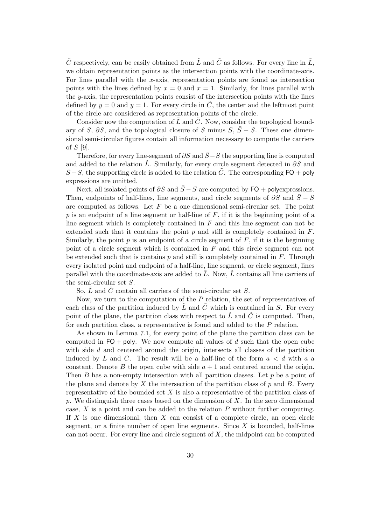$\tilde{C}$  respectively, can be easily obtained from  $\tilde{L}$  and  $\tilde{C}$  as follows. For every line in  $\tilde{L}$ , we obtain representation points as the intersection points with the coordinate-axis. For lines parallel with the  $x$ -axis, representation points are found as intersection points with the lines defined by  $x = 0$  and  $x = 1$ . Similarly, for lines parallel with the  $y$ -axis, the representation points consist of the intersection points with the lines defined by  $y = 0$  and  $y = 1$ . For every circle in  $\tilde{C}$ , the center and the leftmost point of the circle are considered as representation points of the circle.

Consider now the computation of  $\tilde{L}$  and  $\tilde{C}$ . Now, consider the topological boundary of S,  $\partial S$ , and the topological closure of S minus S,  $\overline{S} - S$ . These one dimensional semi-circular figures contain all information necessary to compute the carriers of S [9].

Therefore, for every line-segment of  $\partial S$  and  $\bar{S}-S$  the supporting line is computed and added to the relation  $\tilde{L}$ . Similarly, for every circle segment detected in  $\partial S$  and  $\overline{S}-S$ , the supporting circle is added to the relation  $\overline{C}$ . The corresponding FO + poly expressions are omitted.

Next, all isolated points of  $\partial S$  and  $\overline{S} - S$  are computed by FO + polyexpressions. Then, endpoints of half-lines, line segments, and circle segments of  $\partial S$  and  $\overline{S} - S$ are computed as follows. Let  $F$  be a one dimensional semi-circular set. The point p is an endpoint of a line segment or half-line of  $F$ , if it is the beginning point of a line segment which is completely contained in  $F$  and this line segment can not be extended such that it contains the point  $p$  and still is completely contained in  $F$ . Similarly, the point  $p$  is an endpoint of a circle segment of  $F$ , if it is the beginning point of a circle segment which is contained in F and this circle segment can not be extended such that is contains  $p$  and still is completely contained in  $F$ . Through every isolated point and endpoint of a half-line, line segment, or circle segment, lines parallel with the coordinate-axis are added to  $\overline{L}$ . Now,  $\overline{L}$  contains all line carriers of the semi-circular set S.

So,  $\tilde{L}$  and  $\tilde{C}$  contain all carriers of the semi-circular set S.

Now, we turn to the computation of the P relation, the set of representatives of each class of the partition induced by  $\tilde{L}$  and  $\tilde{C}$  which is contained in S. For every point of the plane, the partition class with respect to  $\tilde{L}$  and  $\tilde{C}$  is computed. Then, for each partition class, a representative is found and added to the P relation.

As shown in Lemma 7.1, for every point of the plane the partition class can be computed in  $FO + poly$ . We now compute all values of d such that the open cube with side d and centered around the origin, intersects all classes of the partition induced by L and C. The result will be a half-line of the form  $a < d$  with a a constant. Denote B the open cube with side  $a + 1$  and centered around the origin. Then  $B$  has a non-empty intersection with all partition classes. Let  $p$  be a point of the plane and denote by X the intersection of the partition class of  $p$  and B. Every representative of the bounded set  $X$  is also a representative of the partition class of p. We distinguish three cases based on the dimension of  $X$ . In the zero dimensional case,  $X$  is a point and can be added to the relation  $P$  without further computing. If  $X$  is one dimensional, then  $X$  can consist of a complete circle, an open circle segment, or a finite number of open line segments. Since  $X$  is bounded, half-lines can not occur. For every line and circle segment of X, the midpoint can be computed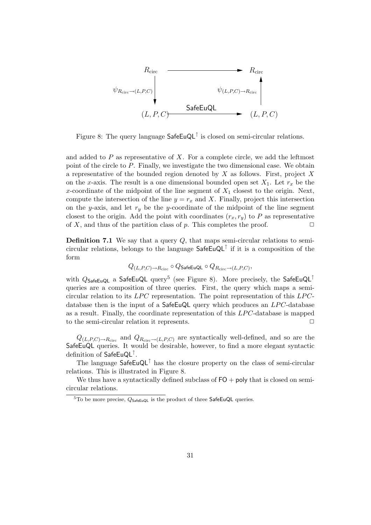

Figure 8: The query language SafeEuQL↑ is closed on semi-circular relations.

and added to  $P$  as representative of  $X$ . For a complete circle, we add the leftmost point of the circle to P. Finally, we investigate the two dimensional case. We obtain a representative of the bounded region denoted by  $X$  as follows. First, project  $X$ on the x-axis. The result is a one dimensional bounded open set  $X_1$ . Let  $r_x$  be the x-coordinate of the midpoint of the line segment of  $X_1$  closest to the origin. Next, compute the intersection of the line  $y = r_x$  and X. Finally, project this intersection on the y-axis, and let  $r_y$  be the y-coordinate of the midpoint of the line segment closest to the origin. Add the point with coordinates  $(r_x, r_y)$  to P as representative of X, and thus of the partition class of p. This completes the proof.  $\Box$ 

**Definition 7.1** We say that a query Q, that maps semi-circular relations to semicircular relations, belongs to the language  $\mathsf{SafeEuQL}^{\uparrow}$  if it is a composition of the form

$$
Q_{(L,P,C) \to R_{\text{circ}}}\circ Q_{\text{SafeEuQL}}\circ Q_{R_{\text{circ}} \to (L,P,C)},
$$

with  $Q_{\text{SafeEuQL}}$  a SafeEuQL query<sup>5</sup> (see Figure 8). More precisely, the SafeEuQL<sup>↑</sup> queries are a composition of three queries. First, the query which maps a semicircular relation to its  $LPC$  representation. The point representation of this  $LPC$ database then is the input of a  $\textsf{SafeEuQL}$  query which produces an  $LPC$ -database as a result. Finally, the coordinate representation of this LPC-database is mapped to the semi-circular relation it represents.  $\Box$ 

 $Q_{(L,P,C)\to R_{\text{circ}} }$  and  $Q_{R_{\text{circ}}\to (L,P,C)}$  are syntactically well-defined, and so are the SafeEuQL queries. It would be desirable, however, to find a more elegant syntactic definition of SafeEuQL↑.

The language  $\mathsf{SafeEuQL}^{\uparrow}$  has the closure property on the class of semi-circular relations. This is illustrated in Figure 8.

We thus have a syntactically defined subclass of  $FO + \text{poly}$  that is closed on semicircular relations.

 ${}^{5}$ To be more precise,  $Q_{\text{SafeEuQL}}$  is the product of three SafeEuQL queries.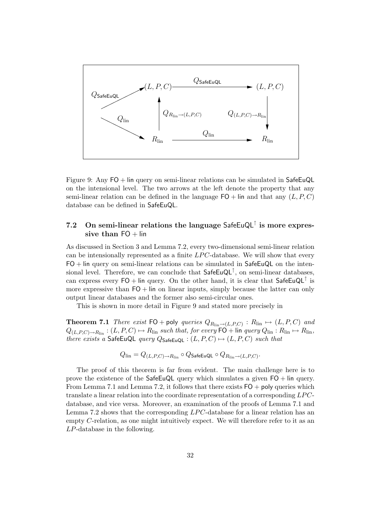

Figure 9: Any FO + lin query on semi-linear relations can be simulated in SafeEuQL on the intensional level. The two arrows at the left denote the property that any semi-linear relation can be defined in the language  $FO +$  lin and that any  $(L, P, C)$ database can be defined in SafeEuQL.

## **7.2 On semi-linear relations the language** SafeEuQL<sup>↑</sup> **is more expres**sive than  $FO + lin$

As discussed in Section 3 and Lemma 7.2, every two-dimensional semi-linear relation can be intensionally represented as a finite  $LPC$ -database. We will show that every  $FO + lin$  query on semi-linear relations can be simulated in SafeEuQL on the intensional level. Therefore, we can conclude that  $\mathsf{SafeEuQL}^{\uparrow}$ , on semi-linear databases, can express every  $FO + \text{lin query}$ . On the other hand, it is clear that SafeEuQL<sup>†</sup> is more expressive than  $FO + lin$  on linear inputs, simply because the latter can only output linear databases and the former also semi-circular ones.

This is shown in more detail in Figure 9 and stated more precisely in

**Theorem 7.1** *There exist*  $FO + poly$  *queries*  $Q_{R_{lin} \to (L, P, C)}$  :  $R_{lin} \mapsto (L, P, C)$  *and*  $Q_{(L,P,C)\to R_{\text{lin}}}:(L,P,C)\mapsto R_{\text{lin}}$  *such that, for every*  $\textsf{FO}+\textsf{lin}$  *query*  $Q_{\text{lin}}:R_{\text{lin}}\mapsto R_{\text{lin}}$ *there exists a* SafeEuQL *query*  $Q_{\text{SafeEuQL}}$  :  $(L, P, C) \mapsto (L, P, C)$  *such that* 

$$
Q_{\text{lin}} = Q_{(L,P,C) \to R_{\text{lin}}} \circ Q_{\text{SafeEuQL}} \circ Q_{R_{\text{lin}} \to (L,P,C)}.
$$

The proof of this theorem is far from evident. The main challenge here is to prove the existence of the SafeEuQL query which simulates a given FO + lin query. From Lemma 7.1 and Lemma 7.2, it follows that there exists  $FO + poly$  queries which translate a linear relation into the coordinate representation of a corresponding  $LPC$ database, and vice versa. Moreover, an examination of the proofs of Lemma 7.1 and Lemma 7.2 shows that the corresponding  $LPC$ -database for a linear relation has an empty C-relation, as one might intuitively expect. We will therefore refer to it as an LP-database in the following.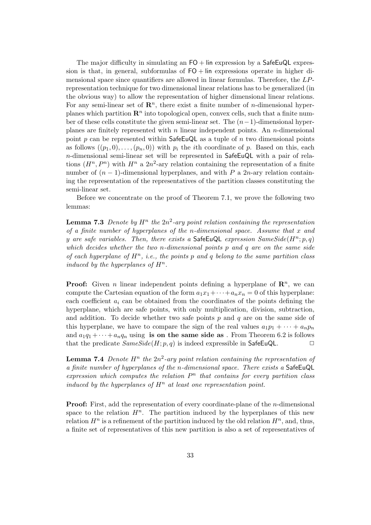The major difficulty in simulating an  $FO +$  lin expression by a SafeEuQL expression is that, in general, subformulas of  $FO + \text{lin}$  expressions operate in higher dimensional space since quantifiers are allowed in linear formulas. Therefore, the LPrepresentation technique for two dimensional linear relations has to be generalized (in the obvious way) to allow the representation of higher dimensional linear relations. For any semi-linear set of  $\mathbb{R}^n$ , there exist a finite number of *n*-dimensional hyperplanes which partition  $\mathbb{R}^n$  into topological open, convex cells, such that a finite number of these cells constitute the given semi-linear set. The (n−1)-dimensional hyperplanes are finitely represented with  $n$  linear independent points. An  $n$ -dimensional point p can be represented within  $\mathsf{SafeEuQL}$  as a tuple of n two dimensional points as follows  $((p_1, 0), \ldots, (p_n, 0))$  with  $p_i$  the *i*th coordinate of p. Based on this, each n-dimensional semi-linear set will be represented in SafeEuQL with a pair of relations  $(H^n, P^n)$  with  $H^n$  a  $2n^2$ -ary relation containing the representation of a finite number of  $(n-1)$ -dimensional hyperplanes, and with P a 2n-ary relation containing the representation of the representatives of the partition classes constituting the semi-linear set.

Before we concentrate on the proof of Theorem 7.1, we prove the following two lemmas:

**Lemma 7.3** *Denote by*  $H^n$  *the*  $2n^2$ *-ary point relation containing the representation of a finite number of hyperplanes of the* n*-dimensional space. Assume that* x *and* y are safe variables. Then, there exists a SafeEuQL expression  $SameSide(H^n; p, q)$ *which decides whether the two* n*-dimensional points* p *and* q *are on the same side of each hyperplane of*  $H^n$ , *i.e.*, the points p and q belong to the same partition class *induced by the hyperplanes of*  $H^n$ .

**Proof:** Given *n* linear independent points defining a hyperplane of  $\mathbb{R}^n$ , we can compute the Cartesian equation of the form  $a_1x_1+\cdots+a_nx_n=0$  of this hyperplane: each coefficient  $a_i$  can be obtained from the coordinates of the points defining the hyperplane, which are safe points, with only multiplication, division, subtraction, and addition. To decide whether two safe points  $p$  and  $q$  are on the same side of this hyperplane, we have to compare the sign of the real values  $a_1p_1 + \cdots + a_np_n$ and  $a_1q_1 + \cdots + a_nq_n$  using **is on the same side as** . From Theorem 6.2 is follows that the predicate  $SameSide(H; p, q)$  is indeed expressible in SafeEuQL.  $\Box$ 

**Lemma 7.4** *Denote*  $H^n$  *the*  $2n^2$ *-ary point relation containing the representation of a finite number of hyperplanes of the* n*-dimensional space. There exists a* SafeEuQL  $ext{expression which computes the relation } P<sup>n</sup> that contains for every partition class$ *induced by the hyperplanes of*  $H^n$  *at least one representation point.* 

**Proof:** First, add the representation of every coordinate-plane of the *n*-dimensional space to the relation  $H^n$ . The partition induced by the hyperplanes of this new relation  $H^n$  is a refinement of the partition induced by the old relation  $H^n$ , and, thus, a finite set of representatives of this new partition is also a set of representatives of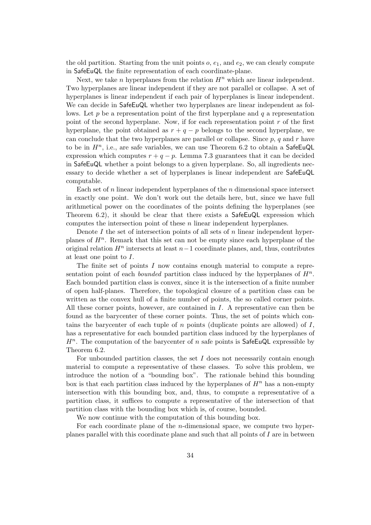the old partition. Starting from the unit points  $o, e_1$ , and  $e_2$ , we can clearly compute in SafeEuQL the finite representation of each coordinate-plane.

Next, we take n hyperplanes from the relation  $H<sup>n</sup>$  which are linear independent. Two hyperplanes are linear independent if they are not parallel or collapse. A set of hyperplanes is linear independent if each pair of hyperplanes is linear independent. We can decide in SafeEuQL whether two hyperplanes are linear independent as follows. Let p be a representation point of the first hyperplane and q a representation point of the second hyperplane. Now, if for each representation point  $r$  of the first hyperplane, the point obtained as  $r + q - p$  belongs to the second hyperplane, we can conclude that the two hyperplanes are parallel or collapse. Since  $p$ ,  $q$  and  $r$  have to be in  $H^n$ , i.e., are safe variables, we can use Theorem 6.2 to obtain a SafeEuQL expression which computes  $r + q - p$ . Lemma 7.3 guarantees that it can be decided in SafeEuQL whether a point belongs to a given hyperplane. So, all ingredients necessary to decide whether a set of hyperplanes is linear independent are SafeEuQL computable.

Each set of  $n$  linear independent hyperplanes of the  $n$  dimensional space intersect in exactly one point. We don't work out the details here, but, since we have full arithmetical power on the coordinates of the points defining the hyperplanes (see Theorem 6.2), it should be clear that there exists a SafeEuQL expression which computes the intersection point of these n linear independent hyperplanes.

Denote I the set of intersection points of all sets of  $n$  linear independent hyperplanes of  $H<sup>n</sup>$ . Remark that this set can not be empty since each hyperplane of the original relation  $H<sup>n</sup>$  intersects at least  $n-1$  coordinate planes, and, thus, contributes at least one point to I.

The finite set of points I now contains enough material to compute a representation point of each *bounded* partition class induced by the hyperplanes of  $H^n$ . Each bounded partition class is convex, since it is the intersection of a finite number of open half-planes. Therefore, the topological closure of a partition class can be written as the convex hull of a finite number of points, the so called corner points. All these corner points, however, are contained in I. A representative can then be found as the barycenter of these corner points. Thus, the set of points which contains the barycenter of each tuple of  $n$  points (duplicate points are allowed) of  $I$ , has a representative for each bounded partition class induced by the hyperplanes of  $H<sup>n</sup>$ . The computation of the barycenter of n safe points is SafeEuQL expressible by Theorem 6.2.

For unbounded partition classes, the set  $I$  does not necessarily contain enough material to compute a representative of these classes. To solve this problem, we introduce the notion of a "bounding box". The rationale behind this bounding box is that each partition class induced by the hyperplanes of  $H<sup>n</sup>$  has a non-empty intersection with this bounding box, and, thus, to compute a representative of a partition class, it suffices to compute a representative of the intersection of that partition class with the bounding box which is, of course, bounded.

We now continue with the computation of this bounding box.

For each coordinate plane of the n-dimensional space, we compute two hyperplanes parallel with this coordinate plane and such that all points of I are in between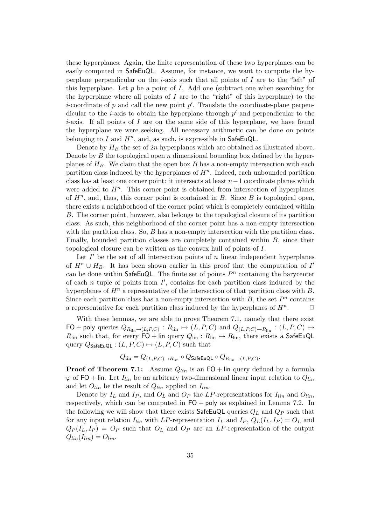these hyperplanes. Again, the finite representation of these two hyperplanes can be easily computed in SafeEuQL. Assume, for instance, we want to compute the hyperplane perpendicular on the *i*-axis such that all points of  $I$  are to the "left" of this hyperplane. Let  $p$  be a point of  $I$ . Add one (subtract one when searching for the hyperplane where all points of  $I$  are to the "right" of this hyperplane) to the *i*-coordinate of p and call the new point  $p'$ . Translate the coordinate-plane perpendicular to the *i*-axis to obtain the hyperplane through  $p'$  and perpendicular to the *i*-axis. If all points of I are on the same side of this hyperplane, we have found the hyperplane we were seeking. All necessary arithmetic can be done on points belonging to I and  $H^n$ , and, as such, is expressible in SafeEuQL.

Denote by  $H_B$  the set of  $2n$  hyperplanes which are obtained as illustrated above. Denote by  $B$  the topological open  $n$  dimensional bounding box defined by the hyperplanes of  $H_B$ . We claim that the open box B has a non-empty intersection with each partition class induced by the hyperplanes of  $H<sup>n</sup>$ . Indeed, each unbounded partition class has at least one corner point: it intersects at least  $n-1$  coordinate planes which were added to  $H<sup>n</sup>$ . This corner point is obtained from intersection of hyperplanes of  $H<sup>n</sup>$ , and, thus, this corner point is contained in B. Since B is topological open, there exists a neighborhood of the corner point which is completely contained within B. The corner point, however, also belongs to the topological closure of its partition class. As such, this neighborhood of the corner point has a non-empty intersection with the partition class. So,  $B$  has a non-empty intersection with the partition class. Finally, bounded partition classes are completely contained within B, since their topological closure can be written as the convex hull of points of I.

Let  $I'$  be the set of all intersection points of n linear independent hyperplanes of  $H^n \cup H_B$ . It has been shown earlier in this proof that the computation of I' can be done within SafeEuQL. The finite set of points  $P<sup>n</sup>$  containing the barycenter of each  $n$  tuple of points from  $I'$ , contains for each partition class induced by the hyperplanes of  $H^n$  a representative of the intersection of that partition class with B. Since each partition class has a non-empty intersection with  $B$ , the set  $P<sup>n</sup>$  contains a representative for each partition class induced by the hyperplanes of  $H^n$ .  $\Box$ 

With these lemmas, we are able to prove Theorem 7.1, namely that there exist  $FO$  + poly queries  $Q_{R_{lin}\to (L,P,C)}$ :  $R_{lin} \mapsto (L, P, C)$  and  $Q_{(L,P,C)\to R_{lin}}$ :  $(L, P, C) \mapsto$  $R_{lin}$  such that, for every  $FO + lin$  query  $Q_{lin}: R_{lin} \mapsto R_{lin}$ , there exists a SafeEuQL query  $Q_{\text{SafeEuQL}} : (L, P, C) \mapsto (L, P, C)$  such that

$$
Q_{\mathrm{lin}} = Q_{(L,P,C) \to R_{\mathrm{lin}}} \circ Q_{\mathsf{SafeEuQL}} \circ Q_{R_{\mathrm{lin}} \to (L,P,C)}.
$$

**Proof of Theorem 7.1:** Assume  $Q_{lin}$  is an FO + lin query defined by a formula  $\varphi$  of FO + lin. Let  $I_{lin}$  be an arbitrary two-dimensional linear input relation to  $Q_{lin}$ and let  $O_{lin}$  be the result of  $Q_{lin}$  applied on  $I_{lin}$ .

Denote by  $I_L$  and  $I_P$ , and  $O_L$  and  $O_P$  the LP-representations for  $I_{lin}$  and  $O_{lin}$ , respectively, which can be computed in FO + poly as explained in Lemma 7.2. In the following we will show that there exists SafeEuQL queries  $Q_L$  and  $Q_P$  such that for any input relation  $I_{lin}$  with LP-representation  $I_L$  and  $I_P$ ,  $Q_L(I_L, I_P) = O_L$  and  $Q_P(I_L, I_P) = O_P$  such that  $O_L$  and  $O_P$  are an *LP*-representation of the output  $Q_{lin}(I_{lin}) = O_{lin}.$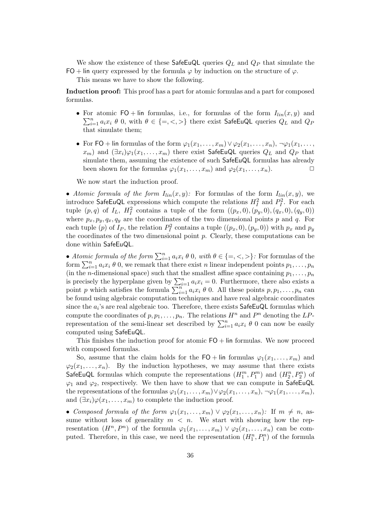We show the existence of these  $\mathsf{SafeEuQL}$  queries  $Q_L$  and  $Q_P$  that simulate the FO + lin query expressed by the formula  $\varphi$  by induction on the structure of  $\varphi$ .

This means we have to show the following.

**Induction proof:** This proof has a part for atomic formulas and a part for composed formulas.

- For atomic FO + lin formulas, i.e., for formulas of the form  $I_{lin}(x, y)$  and  $\sum_{n=0}^{n} a_n x_i \theta_0$  with  $\theta \in \{-\infty\}$  there exist  $S_2f_0E_0Q_1$  everies  $Q_2$  and  $Q_3$  $\sum_{i=1}^{n} a_i x_i \theta$  0, with  $\theta \in \{=, <, >\}$  there exist SafeEuQL queries  $Q_L$  and  $Q_F$ that simulate them;
- For FO + lin formulas of the form  $\varphi_1(x_1,\ldots,x_m) \vee \varphi_2(x_1,\ldots,x_n)$ ,  $\neg \varphi_1(x_1,\ldots,x_n)$  $(x_m)$  and  $(\exists x_i)\varphi_1(x_1,\ldots,x_m)$  there exist SafeEuQL queries  $Q_L$  and  $Q_P$  that simulate them, assuming the existence of such SafeEuQL formulas has already been shown for the formulas  $\varphi_1(x_1,\ldots,x_m)$  and  $\varphi_2(x_1,\ldots,x_n)$ .

We now start the induction proof.

• *Atomic formula of the form*  $I_{lin}(x, y)$ : For formulas of the form  $I_{lin}(x, y)$ , we introduce SafeEuQL expressions which compute the relations  $H_I^2$  and  $P_I^2$ . For each tuple  $(p, q)$  of  $I_L$ ,  $H_I^2$  contains a tuple of the form  $((p_x, 0), (p_y, 0), (q_x, 0), (q_y, 0))$ where  $p_x, p_y, q_x, q_y$  are the coordinates of the two dimensional points p and q. For each tuple  $(p)$  of  $I_P$ , the relation  $P_I^2$  contains a tuple  $((p_x, 0), (p_y, 0))$  with  $p_x$  and  $p_y$ the coordinates of the two dimensional point  $p$ . Clearly, these computations can be done within SafeEuQL.

• *Atomic formula of the form*  $\sum_{i=1}^{n} a_i x_i \theta_0$ , with  $\theta \in \{ =, <, > \}$ : For formulas of the form  $\sum_{i=1}^n a_i x_i \theta$  0, we remark that there exist n linear independent points  $p_1, \ldots, p_n$ (in the *n*-dimensional space) such that the smallest affine space containing  $p_1, \ldots, p_n$ is precisely the hyperplane given by  $\sum_{i=1}^{n} a_i x_i = 0$ . Furthermore, there also exists a point p which satisfies the formula  $\sum_{i=1}^{n} a_i x_i \theta$  0. All these points  $p, p_1, \ldots, p_n$  can be found using algebraic computation techniques and have real algebraic coordinates since the  $a_i$ 's are real algebraic too. Therefore, there exists  $\mathsf{SafeEuQL}$  formulas which compute the coordinates of  $p, p_1, \ldots, p_n$ . The relations  $H^n$  and  $P^n$  denoting the  $LP$ representation of the semi-linear set described by  $\sum_{i=1}^{n} a_i x_i \theta$  0 can now be easily computed using SafeEuQL.

This finishes the induction proof for atomic  $FO + \text{lin}$  formulas. We now proceed with composed formulas.

So, assume that the claim holds for the FO + lin formulas  $\varphi_1(x_1,\ldots,x_m)$  and  $\varphi_2(x_1,\ldots,x_n)$ . By the induction hypotheses, we may assume that there exists SafeEuQL formulas which compute the representations  $(H_1^m, P_1^m)$  and  $(H_2^n, P_2^n)$  of  $\varphi_1$  and  $\varphi_2$ , respectively. We then have to show that we can compute in SafeEuQL the representations of the formulas  $\varphi_1(x_1,\ldots,x_m) \vee \varphi_2(x_1,\ldots,x_n)$ ,  $\neg \varphi_1(x_1,\ldots,x_m)$ , and  $(\exists x_i)\varphi(x_1,\ldots,x_m)$  to complete the induction proof.

• *Composed formula of the form*  $\varphi_1(x_1,\ldots,x_m) \vee \varphi_2(x_1,\ldots,x_n)$ : If  $m \neq n$ , assume without loss of generality  $m < n$ . We start with showing how the representation  $(H^n, P^n)$  of the formula  $\varphi_1(x_1,\ldots,x_m) \vee \varphi_2(x_1,\ldots,x_n)$  can be computed. Therefore, in this case, we need the representation  $(H_1^n, P_1^n)$  of the formula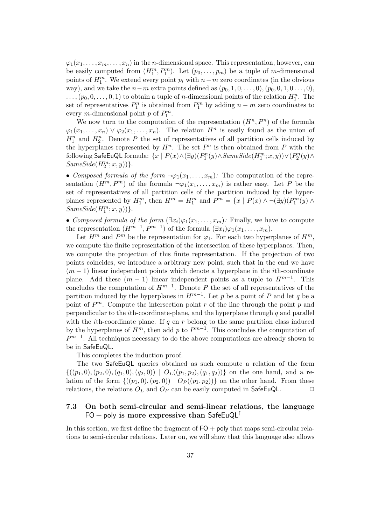$\varphi_1(x_1,\ldots,x_m,\ldots,x_n)$  in the *n*-dimensional space. This representation, however, can be easily computed from  $(H_1^m, P_1^m)$ . Let  $(p_0, \ldots, p_m)$  be a tuple of m-dimensional points of  $H_1^m$ . We extend every point  $p_i$  with  $n-m$  zero coordinates (in the obvious way), and we take the  $n-m$  extra points defined as  $(p_0, 1, 0, \ldots, 0), (p_0, 0, 1, 0 \ldots, 0),$  $\ldots, (p_0, 0, \ldots, 0, 1)$  to obtain a tuple of *n*-dimensional points of the relation  $H_1^n$ . The set of representatives  $P_1^n$  is obtained from  $P_1^m$  by adding  $n - m$  zero coordinates to every *m*-dimensional point *p* of  $P_1^m$ .

We now turn to the computation of the representation  $(H^n, P^n)$  of the formula  $\varphi_1(x_1,\ldots,x_n) \vee \varphi_2(x_1,\ldots,x_n)$ . The relation  $H^n$  is easily found as the union of  $H_1^n$  and  $H_2^n$ . Denote P the set of representatives of all partition cells induced by the hyperplanes represented by  $H^n$ . The set  $P^n$  is then obtained from P with the following SafeEuQL formula:  $\{x \mid P(x) \wedge (\exists y)(P_1^n(y) \wedge SameSide(H_1^m; x, y)) \vee (P_2^n(y) \wedge$  $SameSide(H_2^m; x, y))$ .

• *Composed formula of the form*  $\neg \varphi_1(x_1,\ldots,x_m)$ : The computation of the representation  $(H^m, P^m)$  of the formula  $\neg \varphi_1(x_1,\ldots,x_m)$  is rather easy. Let P be the set of representatives of all partition cells of the partition induced by the hyperplanes represented by  $H_1^m$ , then  $H^m = H_1^m$  and  $P^m = \{x \mid P(x) \wedge \neg(\exists y)(P_1^m(y) \wedge \neg(\exists y)(P_1^m(y))\}$  $SameSide(H_1^m; x, y))$ .

• *Composed formula of the form*  $(\exists x_i)\varphi_1(x_1,\ldots,x_m)$ : Finally, we have to compute the representation  $(H^{m-1}, P^{m-1})$  of the formula  $(\exists x_i)\varphi_1(x_1,\ldots,x_m)$ .

Let  $H^m$  and  $P^m$  be the representation for  $\varphi_1$ . For each two hyperplanes of  $H^m$ , we compute the finite representation of the intersection of these hyperplanes. Then, we compute the projection of this finite representation. If the projection of two points coincides, we introduce a arbitrary new point, such that in the end we have  $(m-1)$  linear independent points which denote a hyperplane in the *i*th-coordinate plane. Add these  $(m - 1)$  linear independent points as a tuple to  $H^{m-1}$ . This concludes the computation of  $H^{m-1}$ . Denote P the set of all representatives of the partition induced by the hyperplanes in  $H^{m-1}$ . Let p be a point of P and let q be a point of  $P^m$ . Compute the intersection point r of the line through the point p and perpendicular to the *i*th-coordinate-plane, and the hyperplane through  $q$  and parallel with the *i*th-coordinate plane. If  $q$  en  $r$  belong to the same partition class induced by the hyperplanes of  $H^m$ , then add p to  $P^{m-1}$ . This concludes the computation of  $P^{m-1}$ . All techniques necessary to do the above computations are already shown to be in SafeEuQL.

This completes the induction proof.

The two SafeEuQL queries obtained as such compute a relation of the form  $\{(p_1, 0), (p_2, 0), (q_1, 0), (q_2, 0)) \mid O_L((p_1, p_2), (q_1, q_2))\}$  on the one hand, and a relation of the form  $\{((p_1, 0), (p_2, 0)) \mid O_P((p_1, p_2))\}$  on the other hand. From these relations, the relations  $O_L$  and  $O_P$  can be easily computed in SafeEuQL.  $\Box$ 

## **7.3 On both semi-circular and semi-linear relations, the language** FO + poly **is more expressive than** SafeEuQL<sup>↑</sup>

In this section, we first define the fragment of  $FO + poly$  that maps semi-circular relations to semi-circular relations. Later on, we will show that this language also allows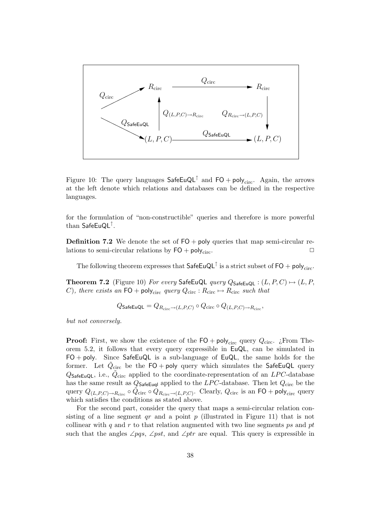

Figure 10: The query languages  $\mathsf{SafeEuQL}^{\uparrow}$  and  $\mathsf{FO} + \mathsf{poly}_{\text{circ}}$ . Again, the arrows at the left denote which relations and databases can be defined in the respective languages.

for the formulation of "non-constructible" queries and therefore is more powerful than SafeEuQL↑.

**Definition 7.2** We denote the set of  $FO + poly$  queries that map semi-circular relations to semi-circular relations by  $FO + poly_{circ}$ .

The following theorem expresses that  $\mathsf{SafeEuQL}^{\uparrow}$  is a strict subset of  $\mathsf{FO} + \mathsf{poly}_{\text{circ}}$ .

**Theorem 7.2** (Figure 10) *For every* SafeEuQL *query*  $Q_{\text{SafeEuQL}} : (L, P, C) \mapsto (L, P, C)$ C), there exists an  $FO + \text{poly}_{circ}$  *query*  $Q_{circ}$ :  $R_{circ} \rightarrow R_{circ}$  *such that* 

$$
Q_{\mathsf{SafeEuQL}} = Q_{R_{\mathrm{circ}} \to (L,P,C)} \circ Q_{\mathrm{circ}} \circ Q_{(L,P,C) \to R_{\mathrm{circ}}},
$$

*but not conversely.*

**Proof:** First, we show the existence of the  $FO + poly_{circ}$  query  $Q_{circ}$ . ¿From Theorem 5.2, it follows that every query expressible in EuQL, can be simulated in  $FO + poly.$  Since SafeEuQL is a sub-language of EuQL, the same holds for the former. Let  $Q_{\text{circ}}$  be the FO + poly query which simulates the SafeEuQL query  $Q_{\mathsf{SafeEuQL}}$ , i.e.,  $Q_{\text{circ}}$  applied to the coordinate-representation of an LPC-database has the same result as  $Q_{\text{SafeEugl}}$  applied to the LPC-database. Then let  $Q_{\text{circ}}$  be the query  $Q_{(L,P,C)\to R_{\text{circ}} \circ Q_{\text{circ}} \circ Q_{R_{\text{circ}} \to (L,P,C)}$ . Clearly,  $Q_{\text{circ}}$  is an  $\textsf{FO} + \textsf{poly}_{\text{circ}}$  query which satisfies the conditions as stated above.

For the second part, consider the query that maps a semi-circular relation consisting of a line segment  $qr$  and a point  $p$  (illustrated in Figure 11) that is not collinear with q and r to that relation augmented with two line segments ps and pt such that the angles  $\angle pqs$ ,  $\angle pst$ , and  $\angle ptr$  are equal. This query is expressible in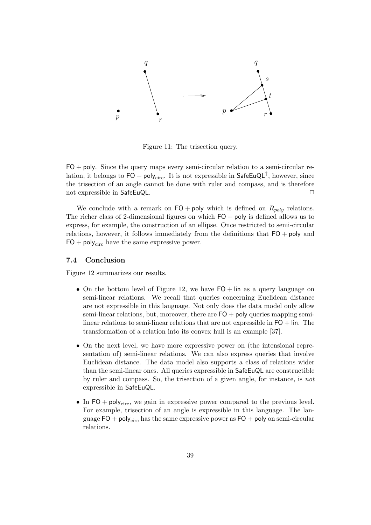

Figure 11: The trisection query.

 $FO + poly.$  Since the query maps every semi-circular relation to a semi-circular relation, it belongs to  $FO + poly_{circ}$ . It is not expressible in SafeEuQL<sup>↑</sup>, however, since the trisection of an angle cannot be done with ruler and compass, and is therefore not expressible in SafeEuQL.

We conclude with a remark on  $FO + poly$  which is defined on  $R_{poly}$  relations. The richer class of 2-dimensional figures on which  $FO + poly$  is defined allows us to express, for example, the construction of an ellipse. Once restricted to semi-circular relations, however, it follows immediately from the definitions that  $FO + poly$  and  $FO + poly_{circ}$  have the same expressive power.

#### **7.4 Conclusion**

Figure 12 summarizes our results.

- On the bottom level of Figure 12, we have  $FO + lin$  as a query language on semi-linear relations. We recall that queries concerning Euclidean distance are not expressible in this language. Not only does the data model only allow semi-linear relations, but, moreover, there are  $FO + \text{poly}$  queries mapping semilinear relations to semi-linear relations that are not expressible in  $FO + lin$ . The transformation of a relation into its convex hull is an example [37].
- On the next level, we have more expressive power on (the intensional representation of) semi-linear relations. We can also express queries that involve Euclidean distance. The data model also supports a class of relations wider than the semi-linear ones. All queries expressible in SafeEuQL are constructible by ruler and compass. So, the trisection of a given angle, for instance, is *not* expressible in SafeEuQL.
- In  $FO + poly_{circ}$ , we gain in expressive power compared to the previous level. For example, trisection of an angle is expressible in this language. The language  $FO + poly_{circ}$  has the same expressive power as  $FO + poly$  on semi-circular relations.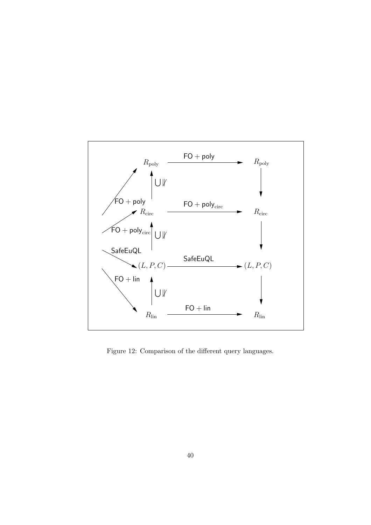

Figure 12: Comparison of the different query languages.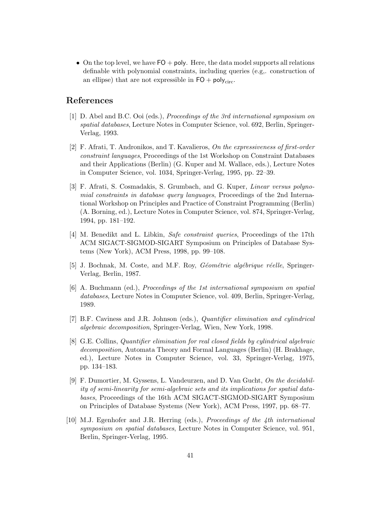• On the top level, we have  $FO + poly$ . Here, the data model supports all relations definable with polynomial constraints, including queries (e.g,. construction of an ellipse) that are not expressible in  $FO + poly_{circ}$ .

# **References**

- [1] D. Abel and B.C. Ooi (eds.), *Proceedings of the 3rd international symposium on spatial databases*, Lecture Notes in Computer Science, vol. 692, Berlin, Springer-Verlag, 1993.
- [2] F. Afrati, T. Andronikos, and T. Kavalieros, *On the expressiveness of first-order constraint languages*, Proceedings of the 1st Workshop on Constraint Databases and their Applications (Berlin) (G. Kuper and M. Wallace, eds.), Lecture Notes in Computer Science, vol. 1034, Springer-Verlag, 1995, pp. 22–39.
- [3] F. Afrati, S. Cosmadakis, S. Grumbach, and G. Kuper, *Linear versus polynomial constraints in database query languages*, Proceedings of the 2nd International Workshop on Principles and Practice of Constraint Programming (Berlin) (A. Borning, ed.), Lecture Notes in Computer Science, vol. 874, Springer-Verlag, 1994, pp. 181–192.
- [4] M. Benedikt and L. Libkin, *Safe constraint queries*, Proceedings of the 17th ACM SIGACT-SIGMOD-SIGART Symposium on Principles of Database Systems (New York), ACM Press, 1998, pp. 99–108.
- [5] J. Bochnak, M. Coste, and M.F. Roy, *Géométrie algébrique réelle*, Springer-Verlag, Berlin, 1987.
- [6] A. Buchmann (ed.), *Proceedings of the 1st international symposium on spatial databases*, Lecture Notes in Computer Science, vol. 409, Berlin, Springer-Verlag, 1989.
- [7] B.F. Caviness and J.R. Johnson (eds.), *Quantifier elimination and cylindrical algebraic decomposition*, Springer-Verlag, Wien, New York, 1998.
- [8] G.E. Collins, *Quantifier elimination for real closed fields by cylindrical algebraic decomposition*, Automata Theory and Formal Languages (Berlin) (H. Brakhage, ed.), Lecture Notes in Computer Science, vol. 33, Springer-Verlag, 1975, pp. 134–183.
- [9] F. Dumortier, M. Gyssens, L. Vandeurzen, and D. Van Gucht, *On the decidability of semi-linearity for semi-algebraic sets and its implications for spatial databases*, Proceedings of the 16th ACM SIGACT-SIGMOD-SIGART Symposium on Principles of Database Systems (New York), ACM Press, 1997, pp. 68–77.
- [10] M.J. Egenhofer and J.R. Herring (eds.), *Proceedings of the 4th international symposium on spatial databases*, Lecture Notes in Computer Science, vol. 951, Berlin, Springer-Verlag, 1995.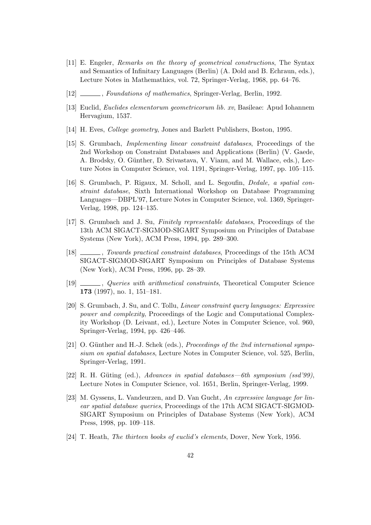- [11] E. Engeler, *Remarks on the theory of geometrical constructions*, The Syntax and Semantics of Infinitary Languages (Berlin) (A. Dold and B. Echraun, eds.), Lecture Notes in Mathemathics, vol. 72, Springer-Verlag, 1968, pp. 64–76.
- [12] , *Foundations of mathematics*, Springer-Verlag, Berlin, 1992.
- [13] Euclid, *Euclides elementorum geometricorum lib. xv*, Basileae: Apud Iohannem Hervagium, 1537.
- [14] H. Eves, *College geometry*, Jones and Barlett Publishers, Boston, 1995.
- [15] S. Grumbach, *Implementing linear constraint databases*, Proceedings of the 2nd Workshop on Constraint Databases and Applications (Berlin) (V. Gaede, A. Brodsky, O. Günther, D. Srivastava, V. Vianu, and M. Wallace, eds.), Lecture Notes in Computer Science, vol. 1191, Springer-Verlag, 1997, pp. 105–115.
- [16] S. Grumbach, P. Rigaux, M. Scholl, and L. Segoufin, *Dedale, a spatial constraint database*, Sixth International Workshop on Database Programming Languages—DBPL'97, Lecture Notes in Computer Science, vol. 1369, Springer-Verlag, 1998, pp. 124–135.
- [17] S. Grumbach and J. Su, *Finitely representable databases*, Proceedings of the 13th ACM SIGACT-SIGMOD-SIGART Symposium on Principles of Database Systems (New York), ACM Press, 1994, pp. 289–300.
- [18] , *Towards practical constraint databases*, Proceedings of the 15th ACM SIGACT-SIGMOD-SIGART Symposium on Principles of Database Systems (New York), ACM Press, 1996, pp. 28–39.
- [19] , *Queries with arithmetical constraints*, Theoretical Computer Science **173** (1997), no. 1, 151–181.
- [20] S. Grumbach, J. Su, and C. Tollu, *Linear constraint query languages: Expressive power and complexity*, Proceedings of the Logic and Computational Complexity Workshop (D. Leivant, ed.), Lecture Notes in Computer Science, vol. 960, Springer-Verlag, 1994, pp. 426–446.
- [21] O. Günther and H.-J. Schek (eds.), *Proceedings of the 2nd international symposium on spatial databases*, Lecture Notes in Computer Science, vol. 525, Berlin, Springer-Verlag, 1991.
- [22] R. H. G¨uting (ed.), *Advances in spatial databases—6th symposium (ssd'99)*, Lecture Notes in Computer Science, vol. 1651, Berlin, Springer-Verlag, 1999.
- [23] M. Gyssens, L. Vandeurzen, and D. Van Gucht, *An expressive language for linear spatial database queries*, Proceedings of the 17th ACM SIGACT-SIGMOD-SIGART Symposium on Principles of Database Systems (New York), ACM Press, 1998, pp. 109–118.
- [24] T. Heath, *The thirteen books of euclid's elements*, Dover, New York, 1956.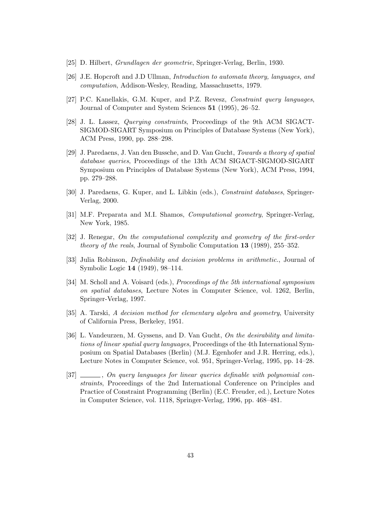- [25] D. Hilbert, *Grundlagen der geometrie*, Springer-Verlag, Berlin, 1930.
- [26] J.E. Hopcroft and J.D Ullman, *Introduction to automata theory, languages, and computation*, Addison-Wesley, Reading, Massachusetts, 1979.
- [27] P.C. Kanellakis, G.M. Kuper, and P.Z. Revesz, *Constraint query languages*, Journal of Computer and System Sciences **51** (1995), 26–52.
- [28] J. L. Lassez, *Querying constraints*, Proceedings of the 9th ACM SIGACT-SIGMOD-SIGART Symposium on Principles of Database Systems (New York), ACM Press, 1990, pp. 288–298.
- [29] J. Paredaens, J. Van den Bussche, and D. Van Gucht, *Towards a theory of spatial database queries*, Proceedings of the 13th ACM SIGACT-SIGMOD-SIGART Symposium on Principles of Database Systems (New York), ACM Press, 1994, pp. 279–288.
- [30] J. Paredaens, G. Kuper, and L. Libkin (eds.), *Constraint databases*, Springer-Verlag, 2000.
- [31] M.F. Preparata and M.I. Shamos, *Computational geometry*, Springer-Verlag, New York, 1985.
- [32] J. Renegar, *On the computational complexity and geometry of the first-order theory of the reals*, Journal of Symbolic Computation **13** (1989), 255–352.
- [33] Julia Robinson, *Definability and decision problems in arithmetic.*, Journal of Symbolic Logic **14** (1949), 98–114.
- [34] M. Scholl and A. Voisard (eds.), *Proceedings of the 5th international symposium on spatial databases*, Lecture Notes in Computer Science, vol. 1262, Berlin, Springer-Verlag, 1997.
- [35] A. Tarski, *A decision method for elementary algebra and geometry*, University of California Press, Berkeley, 1951.
- [36] L. Vandeurzen, M. Gyssens, and D. Van Gucht, *On the desirability and limitations of linear spatial query languages*, Proceedings of the 4th International Symposium on Spatial Databases (Berlin) (M.J. Egenhofer and J.R. Herring, eds.), Lecture Notes in Computer Science, vol. 951, Springer-Verlag, 1995, pp. 14–28.
- [37] , *On query languages for linear queries definable with polynomial constraints*, Proceedings of the 2nd International Conference on Principles and Practice of Constraint Programming (Berlin) (E.C. Freuder, ed.), Lecture Notes in Computer Science, vol. 1118, Springer-Verlag, 1996, pp. 468–481.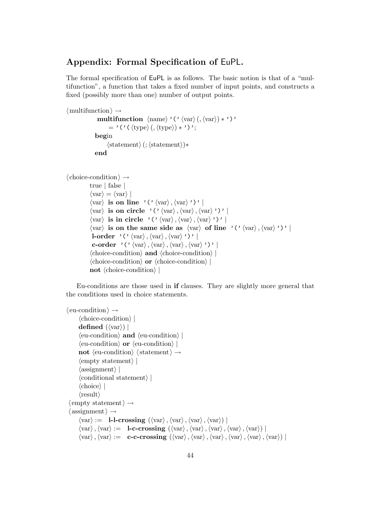# **Appendix: Formal Specification of** EuPL**.**

The formal specification of EuPL is as follows. The basic notion is that of a "multifunction", a function that takes a fixed number of input points, and constructs a fixed (possibly more than one) number of output points.

```
\langle multifunction \rangle \rightarrowmultifunction \langle \text{name} \rangle \cdot (\langle \text{var} \rangle (\langle \text{var} \rangle) * \rangle)= '('((type)(,(type))*')';
                 begin
```

```
\langle statement \rangle (; \langle statement \rangle)*
```
**end**

```
\langle choice-condition\rangle \rightarrowtrue | false |
```

```
\langle var \rangle = \langle var \rangle\langle \text{var} \rangle is on line '('\langle \text{var} \rangle, \langle \text{var} \rangle')' |
 \langle \text{var} \rangle is on circle '('\langle \text{var} \rangle, \langle \text{var} \rangle, \langle \text{var} \rangle'')' |
 \langle \text{var} \rangle is in circle '('\langle \text{var} \rangle, \langle \text{var} \rangle, \langle \text{var} \rangle'')' |
 \langle \text{var} \rangle is on the same side as \langle \text{var} \rangle of line '('\langle \text{var} \rangle, \langle \text{var} \rangle')' |
 l-order '('\langle var \rangle, \langle var \rangle, \langle var \rangle'')'
  c-order '('\langle var \rangle, \langle var \rangle, \langle var \rangle, \langle var \rangle''' |
 \langlechoice-condition\rangle and \langlechoice-condition\rangle\langlechoice-condition\rangle or \langlechoice-condition\ranglenot \langlechoice-condition\rangle
```
Eu-conditions are those used in **if** clauses. They are slightly more general that the conditions used in choice statements.

```
\langle eu-condition\rangle \rightarrow\langlechoice-condition\rangledefined (\langle var \rangle) |
         \langleeu-condition\rangle and \langleeu-condition\rangle\langleeu-condition\rangle or \langleeu-condition\ranglenot \langleeu-condition\rangle \langle statement\rangle \rightarrow\langle \text{empty statement} \rangle\langle assignment\rangle |
         \langle conditional statement\rangle\langlechoice\rangle\langle \text{result} \rangle\langle empty statement\rangle \rightarrow\langle assignment \rangle \rightarrowvar
 := l-l-crossing (var
,var
,var
,var
) |
         \langle \text{var} \rangle, \langle \text{var} \rangle := \mathbf{I}-c-crossing (\langle \text{var} \rangle, \langle \text{var} \rangle, \langle \text{var} \rangle, \langle \text{var} \rangle, \langle \text{var} \rangle)\langle \text{var} \rangle, \langle \text{var} \rangle := \mathbf{c}-c-crossing (\langle \text{var} \rangle, \langle \text{var} \rangle, \langle \text{var} \rangle, \langle \text{var} \rangle, \langle \text{var} \rangle, \langle \text{var} \rangle)
```